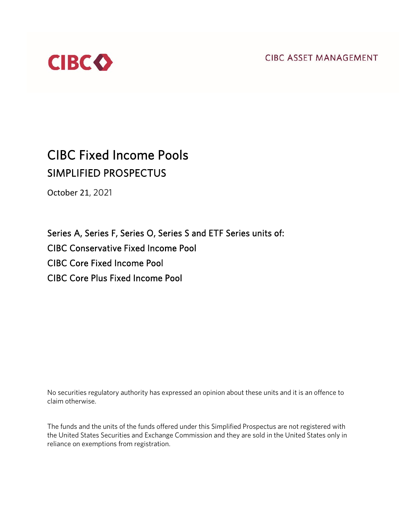**CIBC ASSET MANAGEMENT** 



# CIBC Fixed Income Pools SIMPLIFIED PROSPECTUS

October 21, 2021

Series A, Series F, Series O, Series S and ETF Series units of: CIBC Conservative Fixed Income Pool CIBC Core Fixed Income Pool CIBC Core Plus Fixed Income Pool

No securities regulatory authority has expressed an opinion about these units and it is an offence to claim otherwise.

The funds and the units of the funds offered under this Simplified Prospectus are not registered with the United States Securities and Exchange Commission and they are sold in the United States only in reliance on exemptions from registration.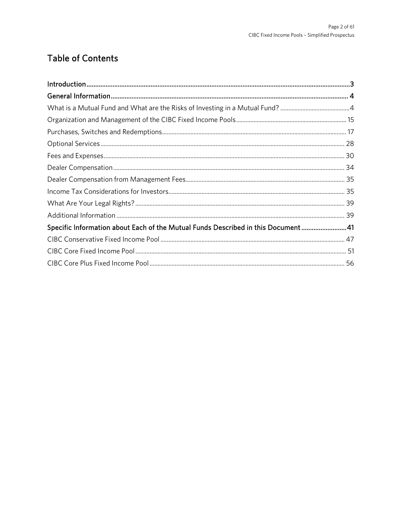# **Table of Contents**

| Specific Information about Each of the Mutual Funds Described in this Document 41 |  |
|-----------------------------------------------------------------------------------|--|
|                                                                                   |  |
|                                                                                   |  |
|                                                                                   |  |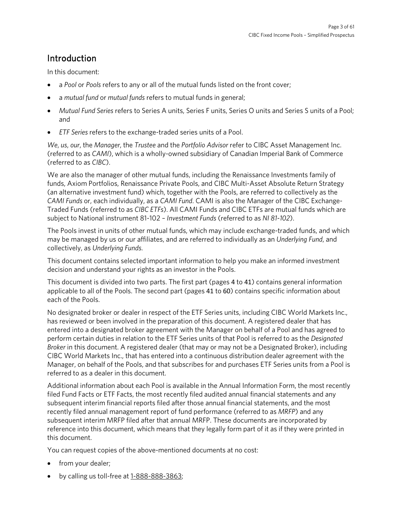# <span id="page-2-0"></span>Introduction

In this document:

- a *Pool* or *Pools* refers to any or all of the mutual funds listed on the front cover;
- a *mutual fund* or *mutual funds* refers to mutual funds in general;
- *Mutual Fund Series* refers to Series A units, Series F units, Series O units and Series S units of a Pool; and
- *ETF Series* refers to the exchange-traded series units of a Pool.

*We*, *us*, *our*, the *Manager*, the *Trustee* and the *Portfolio Advisor* refer to CIBC Asset Management Inc. (referred to as *CAMI*), which is a wholly-owned subsidiary of Canadian Imperial Bank of Commerce (referred to as *CIBC*).

We are also the manager of other mutual funds, including the Renaissance Investments family of funds, Axiom Portfolios, Renaissance Private Pools, and CIBC Multi-Asset Absolute Return Strategy (an alternative investment fund) which, together with the Pools, are referred to collectively as the *CAMI Funds* or, each individually, as a *CAMI Fund*. CAMI is also the Manager of the CIBC Exchange-Traded Funds (referred to as *CIBC ETFs*). All CAMI Funds and CIBC ETFs are mutual funds which are subject to National instrument 81-102 – *Investment Funds* (referred to as *NI 81-102*).

The Pools invest in units of other mutual funds, which may include exchange-traded funds, and which may be managed by us or our affiliates, and are referred to individually as an *Underlying Fund*, and collectively, as *Underlying Funds*.

This document contains selected important information to help you make an informed investment decision and understand your rights as an investor in the Pools.

This document is divided into two parts. The first part (pages 4 to 41) contains general information applicable to all of the Pools. The second part (pages 41 to 60) contains specific information about each of the Pools.

No designated broker or dealer in respect of the ETF Series units, including CIBC World Markets Inc., has reviewed or been involved in the preparation of this document. A registered dealer that has entered into a designated broker agreement with the Manager on behalf of a Pool and has agreed to perform certain duties in relation to the ETF Series units of that Pool is referred to as the *Designated Broker* in this document. A registered dealer (that may or may not be a Designated Broker), including CIBC World Markets Inc., that has entered into a continuous distribution dealer agreement with the Manager, on behalf of the Pools, and that subscribes for and purchases ETF Series units from a Pool is referred to as a dealer in this document.

Additional information about each Pool is available in the Annual Information Form, the most recently filed Fund Facts or ETF Facts, the most recently filed audited annual financial statements and any subsequent interim financial reports filed after those annual financial statements, and the most recently filed annual management report of fund performance (referred to as *MRFP*) and any subsequent interim MRFP filed after that annual MRFP. These documents are incorporated by reference into this document, which means that they legally form part of it as if they were printed in this document.

You can request copies of the above-mentioned documents at no cost:

- from your dealer;
- by calling us toll-free at [1-888-888-3863;](tel:18888883863)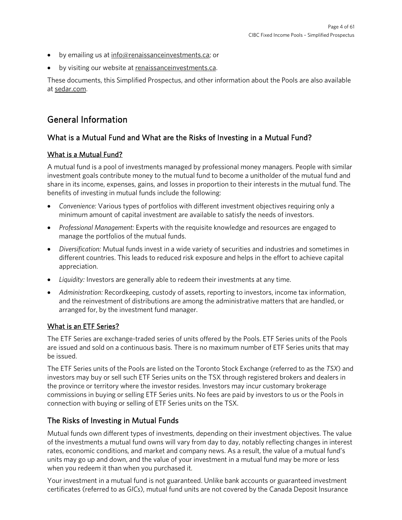- by emailing us a[t info@renaissanceinvestments.ca;](mailto:info@renaissanceinvestments.ca) or
- by visiting our website at [renaissanceinvestments.ca.](https://www.renaissanceinvestments.ca/)

These documents, this Simplified Prospectus, and other information about the Pools are also available a[t sedar.com.](http://www.sedar.com/)

# <span id="page-3-0"></span>General Information

# <span id="page-3-1"></span>What is a Mutual Fund and What are the Risks of Investing in a Mutual Fund?

## What is a Mutual Fund?

A mutual fund is a pool of investments managed by professional money managers. People with similar investment goals contribute money to the mutual fund to become a unitholder of the mutual fund and share in its income, expenses, gains, and losses in proportion to their interests in the mutual fund. The benefits of investing in mutual funds include the following:

- *Convenience:* Various types of portfolios with different investment objectives requiring only a minimum amount of capital investment are available to satisfy the needs of investors.
- *Professional Management:* Experts with the requisite knowledge and resources are engaged to manage the portfolios of the mutual funds.
- *Diversification:* Mutual funds invest in a wide variety of securities and industries and sometimes in different countries. This leads to reduced risk exposure and helps in the effort to achieve capital appreciation.
- *Liquidity:* Investors are generally able to redeem their investments at any time.
- *Administration:* Recordkeeping, custody of assets, reporting to investors, income tax information, and the reinvestment of distributions are among the administrative matters that are handled, or arranged for, by the investment fund manager.

# What is an ETF Series?

The ETF Series are exchange-traded series of units offered by the Pools. ETF Series units of the Pools are issued and sold on a continuous basis. There is no maximum number of ETF Series units that may be issued.

The ETF Series units of the Pools are listed on the Toronto Stock Exchange (referred to as the *TSX*) and investors may buy or sell such ETF Series units on the TSX through registered brokers and dealers in the province or territory where the investor resides. Investors may incur customary brokerage commissions in buying or selling ETF Series units. No fees are paid by investors to us or the Pools in connection with buying or selling of ETF Series units on the TSX.

# The Risks of Investing in Mutual Funds

Mutual funds own different types of investments, depending on their investment objectives. The value of the investments a mutual fund owns will vary from day to day, notably reflecting changes in interest rates, economic conditions, and market and company news. As a result, the value of a mutual fund's units may go up and down, and the value of your investment in a mutual fund may be more or less when you redeem it than when you purchased it.

Your investment in a mutual fund is not guaranteed. Unlike bank accounts or guaranteed investment certificates (referred to as *GICs*), mutual fund units are not covered by the Canada Deposit Insurance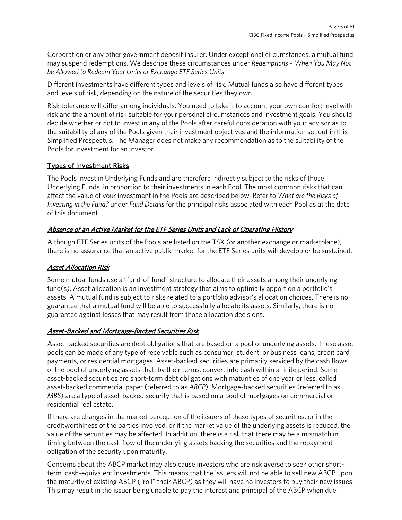Corporation or any other government deposit insurer. Under exceptional circumstances, a mutual fund may suspend redemptions. We describe these circumstances under *Redemptions – When You May Not be Allowed to Redeem Your Units or Exchange ETF Series Units*.

Different investments have different types and levels of risk. Mutual funds also have different types and levels of risk, depending on the nature of the securities they own.

Risk tolerance will differ among individuals. You need to take into account your own comfort level with risk and the amount of risk suitable for your personal circumstances and investment goals. You should decide whether or not to invest in any of the Pools after careful consideration with your advisor as to the suitability of any of the Pools given their investment objectives and the information set out in this Simplified Prospectus. The Manager does not make any recommendation as to the suitability of the Pools for investment for an investor.

## Types of Investment Risks

The Pools invest in Underlying Funds and are therefore indirectly subject to the risks of those Underlying Funds, in proportion to their investments in each Pool. The most common risks that can affect the value of your investment in the Pools are described below. Refer to *What are the Risks of Investing in the Fund?* under *Fund Details* for the principal risks associated with each Pool as at the date of this document.

## Absence of an Active Market for the ETF Series Units and Lack of Operating History

Although ETF Series units of the Pools are listed on the TSX (or another exchange or marketplace), there is no assurance that an active public market for the ETF Series units will develop or be sustained.

### Asset Allocation Risk

Some mutual funds use a "fund-of-fund" structure to allocate their assets among their underlying fund(s). Asset allocation is an investment strategy that aims to optimally apportion a portfolio's assets. A mutual fund is subject to risks related to a portfolio advisor's allocation choices. There is no guarantee that a mutual fund will be able to successfully allocate its assets. Similarly, there is no guarantee against losses that may result from those allocation decisions.

### Asset-Backed and Mortgage-Backed Securities Risk

Asset-backed securities are debt obligations that are based on a pool of underlying assets. These asset pools can be made of any type of receivable such as consumer, student, or business loans, credit card payments, or residential mortgages. Asset-backed securities are primarily serviced by the cash flows of the pool of underlying assets that, by their terms, convert into cash within a finite period. Some asset-backed securities are short-term debt obligations with maturities of one year or less, called asset-backed commercial paper (referred to as *ABCP*). Mortgage-backed securities (referred to as *MBS*) are a type of asset-backed security that is based on a pool of mortgages on commercial or residential real estate.

If there are changes in the market perception of the issuers of these types of securities, or in the creditworthiness of the parties involved, or if the market value of the underlying assets is reduced, the value of the securities may be affected. In addition, there is a risk that there may be a mismatch in timing between the cash flow of the underlying assets backing the securities and the repayment obligation of the security upon maturity.

Concerns about the ABCP market may also cause investors who are risk averse to seek other shortterm, cash-equivalent investments. This means that the issuers will not be able to sell new ABCP upon the maturity of existing ABCP ("roll" their ABCP) as they will have no investors to buy their new issues. This may result in the issuer being unable to pay the interest and principal of the ABCP when due.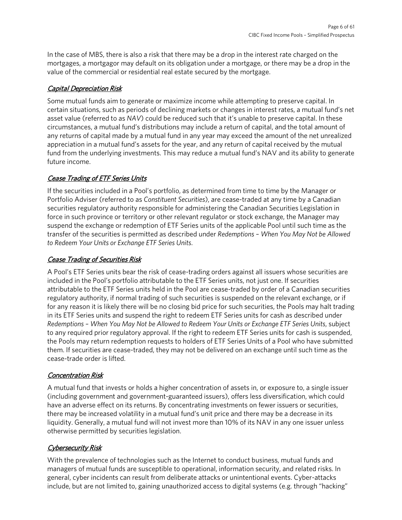In the case of MBS, there is also a risk that there may be a drop in the interest rate charged on the mortgages, a mortgagor may default on its obligation under a mortgage, or there may be a drop in the value of the commercial or residential real estate secured by the mortgage.

## Capital Depreciation Risk

Some mutual funds aim to generate or maximize income while attempting to preserve capital. In certain situations, such as periods of declining markets or changes in interest rates, a mutual fund's net asset value (referred to as *NAV*) could be reduced such that it's unable to preserve capital. In these circumstances, a mutual fund's distributions may include a return of capital, and the total amount of any returns of capital made by a mutual fund in any year may exceed the amount of the net unrealized appreciation in a mutual fund's assets for the year, and any return of capital received by the mutual fund from the underlying investments. This may reduce a mutual fund's NAV and its ability to generate future income.

## **Cease Trading of ETF Series Units**

If the securities included in a Pool's portfolio, as determined from time to time by the Manager or Portfolio Adviser (referred to as *Constituent Securities*), are cease-traded at any time by a Canadian securities regulatory authority responsible for administering the Canadian Securities Legislation in force in such province or territory or other relevant regulator or stock exchange, the Manager may suspend the exchange or redemption of ETF Series units of the applicable Pool until such time as the transfer of the securities is permitted as described under *Redemptions – When You May Not be Allowed to Redeem Your Units or Exchange ETF Series Units*.

## Cease Trading of Securities Risk

A Pool's ETF Series units bear the risk of cease-trading orders against all issuers whose securities are included in the Pool's portfolio attributable to the ETF Series units, not just one. If securities attributable to the ETF Series units held in the Pool are cease-traded by order of a Canadian securities regulatory authority, if normal trading of such securities is suspended on the relevant exchange, or if for any reason it is likely there will be no closing bid price for such securities, the Pools may halt trading in its ETF Series units and suspend the right to redeem ETF Series units for cash as described under *Redemptions – When You May Not be Allowed to Redeem Your Units or Exchange ETF Series Units*, subject to any required prior regulatory approval. If the right to redeem ETF Series units for cash is suspended, the Pools may return redemption requests to holders of ETF Series Units of a Pool who have submitted them. If securities are cease-traded, they may not be delivered on an exchange until such time as the cease-trade order is lifted.

# Concentration Risk

A mutual fund that invests or holds a higher concentration of assets in, or exposure to, a single issuer (including government and government-guaranteed issuers), offers less diversification, which could have an adverse effect on its returns. By concentrating investments on fewer issuers or securities, there may be increased volatility in a mutual fund's unit price and there may be a decrease in its liquidity. Generally, a mutual fund will not invest more than 10% of its NAV in any one issuer unless otherwise permitted by securities legislation.

# Cybersecurity Risk

With the prevalence of technologies such as the Internet to conduct business, mutual funds and managers of mutual funds are susceptible to operational, information security, and related risks. In general, cyber incidents can result from deliberate attacks or unintentional events. Cyber-attacks include, but are not limited to, gaining unauthorized access to digital systems (e.g. through "hacking"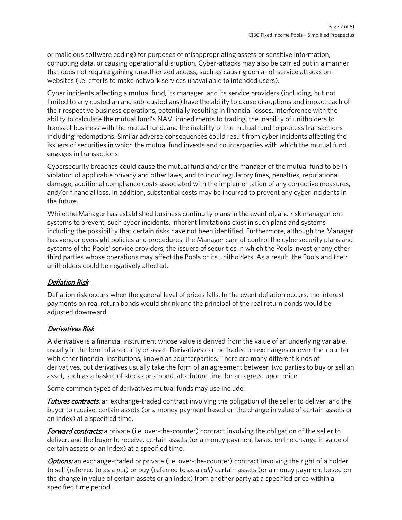or malicious software coding) for purposes of misappropriating assets or sensitive information, corrupting data, or causing operational disruption. Cyber-attacks may also be carried out in a manner that does not require gaining unauthorized access, such as causing denial-of-service attacks on websites (i.e. efforts to make network services unavailable to intended users).

Cyber incidents affecting a mutual fund, its manager, and its service providers (including, but not limited to any custodian and sub-custodians) have the ability to cause disruptions and impact each of their respective business operations, potentially resulting in financial losses, interference with the ability to calculate the mutual fund's NAV, impediments to trading, the inability of unitholders to transact business with the mutual fund, and the inability of the mutual fund to process transactions including redemptions. Similar adverse consequences could result from cyber incidents affecting the issuers of securities in which the mutual fund invests and counterparties with which the mutual fund engages in transactions.

Cybersecurity breaches could cause the mutual fund and/or the manager of the mutual fund to be in violation of applicable privacy and other laws, and to incur regulatory fines, penalties, reputational damage, additional compliance costs associated with the implementation of any corrective measures, and/or financial loss. In addition, substantial costs may be incurred to prevent any cyber incidents in the future.

While the Manager has established business continuity plans in the event of, and risk management systems to prevent, such cyber incidents, inherent limitations exist in such plans and systems including the possibility that certain risks have not been identified. Furthermore, although the Manager has vendor oversight policies and procedures, the Manager cannot control the cybersecurity plans and systems of the Pools' service providers, the issuers of securities in which the Pools invest or any other third parties whose operations may affect the Pools or its unitholders. As a result, the Pools and their unitholders could be negatively affected.

### Deflation Risk

Deflation risk occurs when the general level of prices falls. In the event deflation occurs, the interest payments on real return bonds would shrink and the principal of the real return bonds would be adjusted downward.

### Derivatives Risk

A derivative is a financial instrument whose value is derived from the value of an underlying variable, usually in the form of a security or asset. Derivatives can be traded on exchanges or over-the-counter with other financial institutions, known as counterparties. There are many different kinds of derivatives, but derivatives usually take the form of an agreement between two parties to buy or sell an asset, such as a basket of stocks or a bond, at a future time for an agreed upon price.

Some common types of derivatives mutual funds may use include:

**Futures contracts:** an exchange-traded contract involving the obligation of the seller to deliver, and the buyer to receive, certain assets (or a money payment based on the change in value of certain assets or an index) at a specified time.

**Forward contracts:** a private (i.e. over-the-counter) contract involving the obligation of the seller to deliver, and the buyer to receive, certain assets (or a money payment based on the change in value of certain assets or an index) at a specified time.

**Options:** an exchange-traded or private (i.e. over-the-counter) contract involving the right of a holder to sell (referred to as a *put*) or buy (referred to as a *call*) certain assets (or a money payment based on the change in value of certain assets or an index) from another party at a specified price within a specified time period.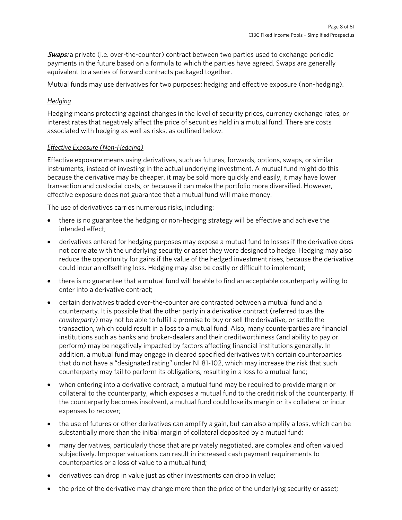Swaps: a private (i.e. over-the-counter) contract between two parties used to exchange periodic payments in the future based on a formula to which the parties have agreed. Swaps are generally equivalent to a series of forward contracts packaged together.

Mutual funds may use derivatives for two purposes: hedging and effective exposure (non-hedging).

### *Hedging*

Hedging means protecting against changes in the level of security prices, currency exchange rates, or interest rates that negatively affect the price of securities held in a mutual fund. There are costs associated with hedging as well as risks, as outlined below.

### *Effective Exposure (Non-Hedging)*

Effective exposure means using derivatives, such as futures, forwards, options, swaps, or similar instruments, instead of investing in the actual underlying investment. A mutual fund might do this because the derivative may be cheaper, it may be sold more quickly and easily, it may have lower transaction and custodial costs, or because it can make the portfolio more diversified. However, effective exposure does not guarantee that a mutual fund will make money.

The use of derivatives carries numerous risks, including:

- there is no guarantee the hedging or non-hedging strategy will be effective and achieve the intended effect;
- derivatives entered for hedging purposes may expose a mutual fund to losses if the derivative does not correlate with the underlying security or asset they were designed to hedge. Hedging may also reduce the opportunity for gains if the value of the hedged investment rises, because the derivative could incur an offsetting loss. Hedging may also be costly or difficult to implement;
- there is no guarantee that a mutual fund will be able to find an acceptable counterparty willing to enter into a derivative contract;
- certain derivatives traded over-the-counter are contracted between a mutual fund and a counterparty. It is possible that the other party in a derivative contract (referred to as the *counterparty*) may not be able to fulfill a promise to buy or sell the derivative, or settle the transaction, which could result in a loss to a mutual fund. Also, many counterparties are financial institutions such as banks and broker-dealers and their creditworthiness (and ability to pay or perform) may be negatively impacted by factors affecting financial institutions generally. In addition, a mutual fund may engage in cleared specified derivatives with certain counterparties that do not have a "designated rating" under NI 81-102, which may increase the risk that such counterparty may fail to perform its obligations, resulting in a loss to a mutual fund;
- when entering into a derivative contract, a mutual fund may be required to provide margin or collateral to the counterparty, which exposes a mutual fund to the credit risk of the counterparty. If the counterparty becomes insolvent, a mutual fund could lose its margin or its collateral or incur expenses to recover;
- the use of futures or other derivatives can amplify a gain, but can also amplify a loss, which can be substantially more than the initial margin of collateral deposited by a mutual fund;
- many derivatives, particularly those that are privately negotiated, are complex and often valued subjectively. Improper valuations can result in increased cash payment requirements to counterparties or a loss of value to a mutual fund;
- derivatives can drop in value just as other investments can drop in value;
- the price of the derivative may change more than the price of the underlying security or asset;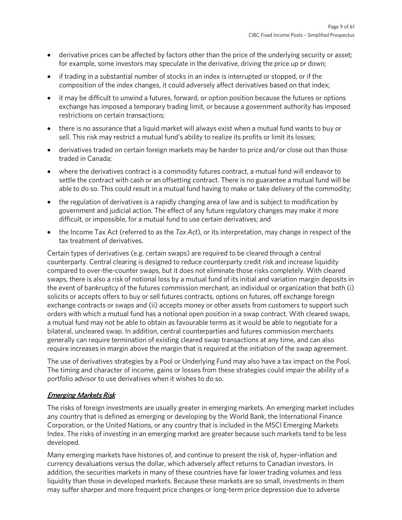- derivative prices can be affected by factors other than the price of the underlying security or asset; for example, some investors may speculate in the derivative, driving the price up or down;
- if trading in a substantial number of stocks in an index is interrupted or stopped, or if the composition of the index changes, it could adversely affect derivatives based on that index;
- it may be difficult to unwind a futures, forward, or option position because the futures or options exchange has imposed a temporary trading limit, or because a government authority has imposed restrictions on certain transactions;
- there is no assurance that a liquid market will always exist when a mutual fund wants to buy or sell. This risk may restrict a mutual fund's ability to realize its profits or limit its losses;
- derivatives traded on certain foreign markets may be harder to price and/or close out than those traded in Canada;
- where the derivatives contract is a commodity futures contract, a mutual fund will endeavor to settle the contract with cash or an offsetting contract. There is no guarantee a mutual fund will be able to do so. This could result in a mutual fund having to make or take delivery of the commodity;
- the regulation of derivatives is a rapidly changing area of law and is subject to modification by government and judicial action. The effect of any future regulatory changes may make it more difficult, or impossible, for a mutual fund to use certain derivatives; and
- the Income Tax Act (referred to as the *Tax Act*), or its interpretation, may change in respect of the tax treatment of derivatives.

Certain types of derivatives (e.g. certain swaps) are required to be cleared through a central counterparty. Central clearing is designed to reduce counterparty credit risk and increase liquidity compared to over-the-counter swaps, but it does not eliminate those risks completely. With cleared swaps, there is also a risk of notional loss by a mutual fund of its initial and variation margin deposits in the event of bankruptcy of the futures commission merchant, an individual or organization that both (i) solicits or accepts offers to buy or sell futures contracts, options on futures, off exchange foreign exchange contracts or swaps and (ii) accepts money or other assets from customers to support such orders with which a mutual fund has a notional open position in a swap contract. With cleared swaps, a mutual fund may not be able to obtain as favourable terms as it would be able to negotiate for a bilateral, uncleared swap. In addition, central counterparties and futures commission merchants generally can require termination of existing cleared swap transactions at any time, and can also require increases in margin above the margin that is required at the initiation of the swap agreement.

The use of derivatives strategies by a Pool or Underlying Fund may also have a tax impact on the Pool. The timing and character of income, gains or losses from these strategies could impair the ability of a portfolio advisor to use derivatives when it wishes to do so.

### Emerging Markets Risk

The risks of foreign investments are usually greater in emerging markets. An emerging market includes any country that is defined as emerging or developing by the World Bank, the International Finance Corporation, or the United Nations, or any country that is included in the MSCI Emerging Markets Index. The risks of investing in an emerging market are greater because such markets tend to be less developed.

Many emerging markets have histories of, and continue to present the risk of, hyper-inflation and currency devaluations versus the dollar, which adversely affect returns to Canadian investors. In addition, the securities markets in many of these countries have far lower trading volumes and less liquidity than those in developed markets. Because these markets are so small, investments in them may suffer sharper and more frequent price changes or long-term price depression due to adverse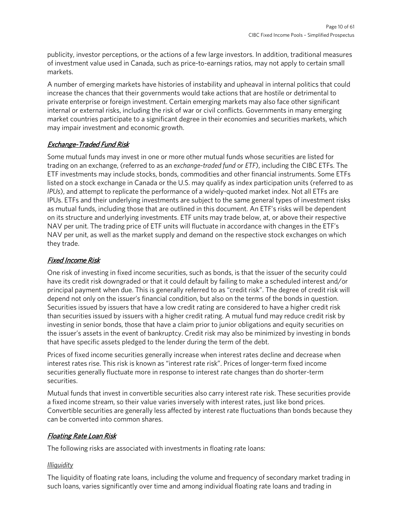publicity, investor perceptions, or the actions of a few large investors. In addition, traditional measures of investment value used in Canada, such as price-to-earnings ratios, may not apply to certain small markets.

A number of emerging markets have histories of instability and upheaval in internal politics that could increase the chances that their governments would take actions that are hostile or detrimental to private enterprise or foreign investment. Certain emerging markets may also face other significant internal or external risks, including the risk of war or civil conflicts. Governments in many emerging market countries participate to a significant degree in their economies and securities markets, which may impair investment and economic growth.

## Exchange-Traded Fund Risk

Some mutual funds may invest in one or more other mutual funds whose securities are listed for trading on an exchange, (referred to as an *exchange-traded fund* or *ETF*), including the CIBC ETFs. The ETF investments may include stocks, bonds, commodities and other financial instruments. Some ETFs listed on a stock exchange in Canada or the U.S. may qualify as index participation units (referred to as *IPUs*), and attempt to replicate the performance of a widely-quoted market index. Not all ETFs are IPUs. ETFs and their underlying investments are subject to the same general types of investment risks as mutual funds, including those that are outlined in this document. An ETF's risks will be dependent on its structure and underlying investments. ETF units may trade below, at, or above their respective NAV per unit. The trading price of ETF units will fluctuate in accordance with changes in the ETF's NAV per unit, as well as the market supply and demand on the respective stock exchanges on which they trade.

### Fixed Income Risk

One risk of investing in fixed income securities, such as bonds, is that the issuer of the security could have its credit risk downgraded or that it could default by failing to make a scheduled interest and/or principal payment when due. This is generally referred to as "credit risk". The degree of credit risk will depend not only on the issuer's financial condition, but also on the terms of the bonds in question. Securities issued by issuers that have a low credit rating are considered to have a higher credit risk than securities issued by issuers with a higher credit rating. A mutual fund may reduce credit risk by investing in senior bonds, those that have a claim prior to junior obligations and equity securities on the issuer's assets in the event of bankruptcy. Credit risk may also be minimized by investing in bonds that have specific assets pledged to the lender during the term of the debt.

Prices of fixed income securities generally increase when interest rates decline and decrease when interest rates rise. This risk is known as "interest rate risk". Prices of longer-term fixed income securities generally fluctuate more in response to interest rate changes than do shorter-term securities.

Mutual funds that invest in convertible securities also carry interest rate risk. These securities provide a fixed income stream, so their value varies inversely with interest rates, just like bond prices. Convertible securities are generally less affected by interest rate fluctuations than bonds because they can be converted into common shares.

### Floating Rate Loan Risk

The following risks are associated with investments in floating rate loans:

### *Illiquidity*

The liquidity of floating rate loans, including the volume and frequency of secondary market trading in such loans, varies significantly over time and among individual floating rate loans and trading in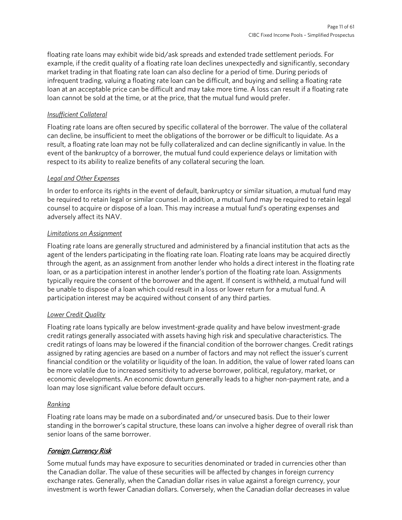floating rate loans may exhibit wide bid/ask spreads and extended trade settlement periods. For example, if the credit quality of a floating rate loan declines unexpectedly and significantly, secondary market trading in that floating rate loan can also decline for a period of time. During periods of infrequent trading, valuing a floating rate loan can be difficult, and buying and selling a floating rate loan at an acceptable price can be difficult and may take more time. A loss can result if a floating rate loan cannot be sold at the time, or at the price, that the mutual fund would prefer.

### *Insufficient Collateral*

Floating rate loans are often secured by specific collateral of the borrower. The value of the collateral can decline, be insufficient to meet the obligations of the borrower or be difficult to liquidate. As a result, a floating rate loan may not be fully collateralized and can decline significantly in value. In the event of the bankruptcy of a borrower, the mutual fund could experience delays or limitation with respect to its ability to realize benefits of any collateral securing the loan.

### *Legal and Other Expenses*

In order to enforce its rights in the event of default, bankruptcy or similar situation, a mutual fund may be required to retain legal or similar counsel. In addition, a mutual fund may be required to retain legal counsel to acquire or dispose of a loan. This may increase a mutual fund's operating expenses and adversely affect its NAV.

### *Limitations on Assignment*

Floating rate loans are generally structured and administered by a financial institution that acts as the agent of the lenders participating in the floating rate loan. Floating rate loans may be acquired directly through the agent, as an assignment from another lender who holds a direct interest in the floating rate loan, or as a participation interest in another lender's portion of the floating rate loan. Assignments typically require the consent of the borrower and the agent. If consent is withheld, a mutual fund will be unable to dispose of a loan which could result in a loss or lower return for a mutual fund. A participation interest may be acquired without consent of any third parties.

### *Lower Credit Quality*

Floating rate loans typically are below investment-grade quality and have below investment-grade credit ratings generally associated with assets having high risk and speculative characteristics. The credit ratings of loans may be lowered if the financial condition of the borrower changes. Credit ratings assigned by rating agencies are based on a number of factors and may not reflect the issuer's current financial condition or the volatility or liquidity of the loan. In addition, the value of lower rated loans can be more volatile due to increased sensitivity to adverse borrower, political, regulatory, market, or economic developments. An economic downturn generally leads to a higher non-payment rate, and a loan may lose significant value before default occurs.

### *Ranking*

Floating rate loans may be made on a subordinated and/or unsecured basis. Due to their lower standing in the borrower's capital structure, these loans can involve a higher degree of overall risk than senior loans of the same borrower.

### Foreign Currency Risk

Some mutual funds may have exposure to securities denominated or traded in currencies other than the Canadian dollar. The value of these securities will be affected by changes in foreign currency exchange rates. Generally, when the Canadian dollar rises in value against a foreign currency, your investment is worth fewer Canadian dollars. Conversely, when the Canadian dollar decreases in value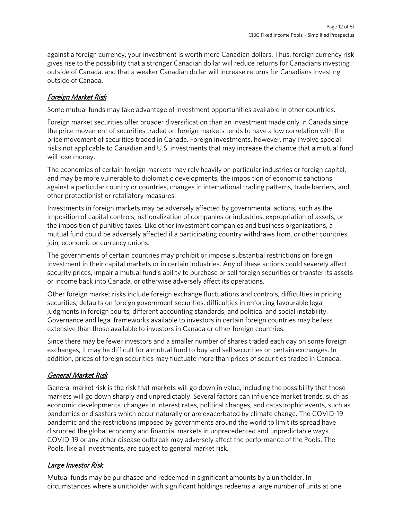against a foreign currency, your investment is worth more Canadian dollars. Thus, foreign currency risk gives rise to the possibility that a stronger Canadian dollar will reduce returns for Canadians investing outside of Canada, and that a weaker Canadian dollar will increase returns for Canadians investing outside of Canada.

## Foreign Market Risk

Some mutual funds may take advantage of investment opportunities available in other countries.

Foreign market securities offer broader diversification than an investment made only in Canada since the price movement of securities traded on foreign markets tends to have a low correlation with the price movement of securities traded in Canada. Foreign investments, however, may involve special risks not applicable to Canadian and U.S. investments that may increase the chance that a mutual fund will lose money.

The economies of certain foreign markets may rely heavily on particular industries or foreign capital, and may be more vulnerable to diplomatic developments, the imposition of economic sanctions against a particular country or countries, changes in international trading patterns, trade barriers, and other protectionist or retaliatory measures.

Investments in foreign markets may be adversely affected by governmental actions, such as the imposition of capital controls, nationalization of companies or industries, expropriation of assets, or the imposition of punitive taxes. Like other investment companies and business organizations, a mutual fund could be adversely affected if a participating country withdraws from, or other countries join, economic or currency unions.

The governments of certain countries may prohibit or impose substantial restrictions on foreign investment in their capital markets or in certain industries. Any of these actions could severely affect security prices, impair a mutual fund's ability to purchase or sell foreign securities or transfer its assets or income back into Canada, or otherwise adversely affect its operations.

Other foreign market risks include foreign exchange fluctuations and controls, difficulties in pricing securities, defaults on foreign government securities, difficulties in enforcing favourable legal judgments in foreign courts, different accounting standards, and political and social instability. Governance and legal frameworks available to investors in certain foreign countries may be less extensive than those available to investors in Canada or other foreign countries.

Since there may be fewer investors and a smaller number of shares traded each day on some foreign exchanges, it may be difficult for a mutual fund to buy and sell securities on certain exchanges. In addition, prices of foreign securities may fluctuate more than prices of securities traded in Canada.

# General Market Risk

General market risk is the risk that markets will go down in value, including the possibility that those markets will go down sharply and unpredictably. Several factors can influence market trends, such as economic developments, changes in interest rates, political changes, and catastrophic events, such as pandemics or disasters which occur naturally or are exacerbated by climate change. The COVID-19 pandemic and the restrictions imposed by governments around the world to limit its spread have disrupted the global economy and financial markets in unprecedented and unpredictable ways. COVID-19 or any other disease outbreak may adversely affect the performance of the Pools. The Pools, like all investments, are subject to general market risk.

### Large Investor Risk

Mutual funds may be purchased and redeemed in significant amounts by a unitholder. In circumstances where a unitholder with significant holdings redeems a large number of units at one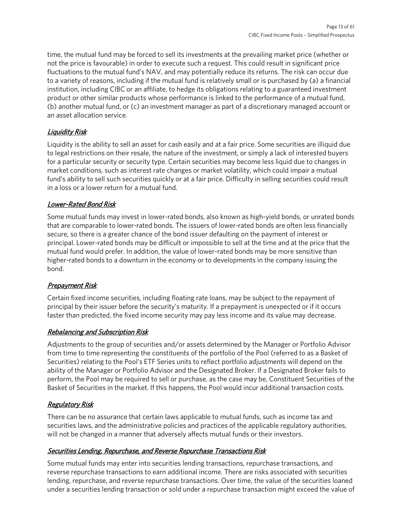time, the mutual fund may be forced to sell its investments at the prevailing market price (whether or not the price is favourable) in order to execute such a request. This could result in significant price fluctuations to the mutual fund's NAV, and may potentially reduce its returns. The risk can occur due to a variety of reasons, including if the mutual fund is relatively small or is purchased by (a) a financial institution, including CIBC or an affiliate, to hedge its obligations relating to a guaranteed investment product or other similar products whose performance is linked to the performance of a mutual fund, (b) another mutual fund, or (c) an investment manager as part of a discretionary managed account or an asset allocation service.

# Liquidity Risk

Liquidity is the ability to sell an asset for cash easily and at a fair price. Some securities are illiquid due to legal restrictions on their resale, the nature of the investment, or simply a lack of interested buyers for a particular security or security type. Certain securities may become less liquid due to changes in market conditions, such as interest rate changes or market volatility, which could impair a mutual fund's ability to sell such securities quickly or at a fair price. Difficulty in selling securities could result in a loss or a lower return for a mutual fund.

# Lower-Rated Bond Risk

Some mutual funds may invest in lower-rated bonds, also known as high-yield bonds, or unrated bonds that are comparable to lower-rated bonds. The issuers of lower-rated bonds are often less financially secure, so there is a greater chance of the bond issuer defaulting on the payment of interest or principal. Lower-rated bonds may be difficult or impossible to sell at the time and at the price that the mutual fund would prefer. In addition, the value of lower-rated bonds may be more sensitive than higher-rated bonds to a downturn in the economy or to developments in the company issuing the bond.

# Prepayment Risk

Certain fixed income securities, including floating rate loans, may be subject to the repayment of principal by their issuer before the security's maturity. If a prepayment is unexpected or if it occurs faster than predicted, the fixed income security may pay less income and its value may decrease.

# Rebalancing and Subscription Risk

Adjustments to the group of securities and/or assets determined by the Manager or Portfolio Advisor from time to time representing the constituents of the portfolio of the Pool (referred to as a Basket of Securities) relating to the Pool's ETF Series units to reflect portfolio adjustments will depend on the ability of the Manager or Portfolio Advisor and the Designated Broker. If a Designated Broker fails to perform, the Pool may be required to sell or purchase, as the case may be, Constituent Securities of the Basket of Securities in the market. If this happens, the Pool would incur additional transaction costs.

# Regulatory Risk

There can be no assurance that certain laws applicable to mutual funds, such as income tax and securities laws, and the administrative policies and practices of the applicable regulatory authorities, will not be changed in a manner that adversely affects mutual funds or their investors.

# Securities Lending, Repurchase, and Reverse Repurchase Transactions Risk

Some mutual funds may enter into securities lending transactions, repurchase transactions, and reverse repurchase transactions to earn additional income. There are risks associated with securities lending, repurchase, and reverse repurchase transactions. Over time, the value of the securities loaned under a securities lending transaction or sold under a repurchase transaction might exceed the value of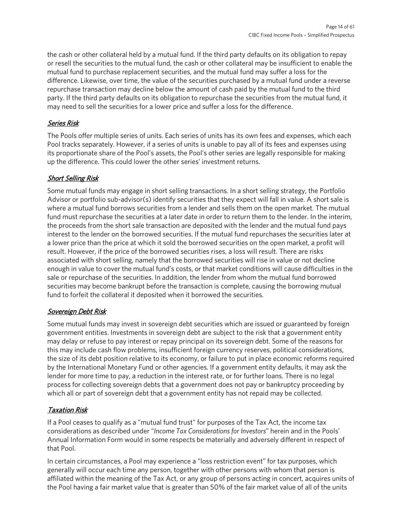the cash or other collateral held by a mutual fund. If the third party defaults on its obligation to repay or resell the securities to the mutual fund, the cash or other collateral may be insufficient to enable the mutual fund to purchase replacement securities, and the mutual fund may suffer a loss for the difference. Likewise, over time, the value of the securities purchased by a mutual fund under a reverse repurchase transaction may decline below the amount of cash paid by the mutual fund to the third party. If the third party defaults on its obligation to repurchase the securities from the mutual fund, it may need to sell the securities for a lower price and suffer a loss for the difference.

## Series Risk

The Pools offer multiple series of units. Each series of units has its own fees and expenses, which each Pool tracks separately. However, if a series of units is unable to pay all of its fees and expenses using its proportionate share of the Pool's assets, the Pool's other series are legally responsible for making up the difference. This could lower the other series' investment returns.

### Short Selling Risk

Some mutual funds may engage in short selling transactions. In a short selling strategy, the Portfolio Advisor or portfolio sub-advisor(s) identify securities that they expect will fall in value. A short sale is where a mutual fund borrows securities from a lender and sells them on the open market. The mutual fund must repurchase the securities at a later date in order to return them to the lender. In the interim, the proceeds from the short sale transaction are deposited with the lender and the mutual fund pays interest to the lender on the borrowed securities. If the mutual fund repurchases the securities later at a lower price than the price at which it sold the borrowed securities on the open market, a profit will result. However, if the price of the borrowed securities rises, a loss will result. There are risks associated with short selling, namely that the borrowed securities will rise in value or not decline enough in value to cover the mutual fund's costs, or that market conditions will cause difficulties in the sale or repurchase of the securities. In addition, the lender from whom the mutual fund borrowed securities may become bankrupt before the transaction is complete, causing the borrowing mutual fund to forfeit the collateral it deposited when it borrowed the securities.

### Sovereign Debt Risk

Some mutual funds may invest in sovereign debt securities which are issued or guaranteed by foreign government entities. Investments in sovereign debt are subject to the risk that a government entity may delay or refuse to pay interest or repay principal on its sovereign debt. Some of the reasons for this may include cash flow problems, insufficient foreign currency reserves, political considerations, the size of its debt position relative to its economy, or failure to put in place economic reforms required by the International Monetary Fund or other agencies. If a government entity defaults, it may ask the lender for more time to pay, a reduction in the interest rate, or for further loans. There is no legal process for collecting sovereign debts that a government does not pay or bankruptcy proceeding by which all or part of sovereign debt that a government entity has not repaid may be collected.

# Taxation Risk

If a Pool ceases to qualify as a "mutual fund trust" for purposes of the Tax Act, the income tax considerations as described under "*Income Tax Considerations for Investors*" herein and in the Pools' Annual Information Form would in some respects be materially and adversely different in respect of that Pool.

In certain circumstances, a Pool may experience a "loss restriction event" for tax purposes, which generally will occur each time any person, together with other persons with whom that person is affiliated within the meaning of the Tax Act, or any group of persons acting in concert, acquires units of the Pool having a fair market value that is greater than 50% of the fair market value of all of the units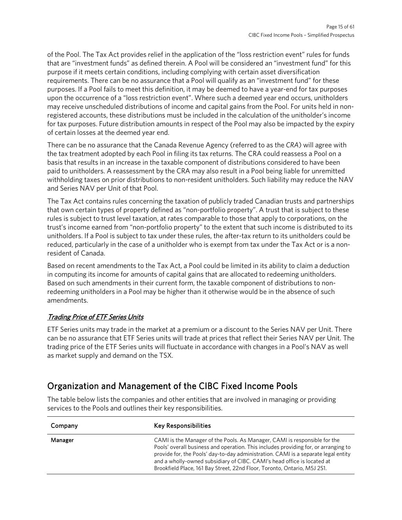of the Pool. The Tax Act provides relief in the application of the "loss restriction event" rules for funds that are "investment funds" as defined therein. A Pool will be considered an "investment fund" for this purpose if it meets certain conditions, including complying with certain asset diversification requirements. There can be no assurance that a Pool will qualify as an "investment fund" for these purposes. If a Pool fails to meet this definition, it may be deemed to have a year-end for tax purposes upon the occurrence of a "loss restriction event". Where such a deemed year end occurs, unitholders may receive unscheduled distributions of income and capital gains from the Pool. For units held in nonregistered accounts, these distributions must be included in the calculation of the unitholder's income for tax purposes. Future distribution amounts in respect of the Pool may also be impacted by the expiry of certain losses at the deemed year end.

There can be no assurance that the Canada Revenue Agency (referred to as the *CRA*) will agree with the tax treatment adopted by each Pool in filing its tax returns. The CRA could reassess a Pool on a basis that results in an increase in the taxable component of distributions considered to have been paid to unitholders. A reassessment by the CRA may also result in a Pool being liable for unremitted withholding taxes on prior distributions to non-resident unitholders. Such liability may reduce the NAV and Series NAV per Unit of that Pool.

The Tax Act contains rules concerning the taxation of publicly traded Canadian trusts and partnerships that own certain types of property defined as "non-portfolio property". A trust that is subject to these rules is subject to trust level taxation, at rates comparable to those that apply to corporations, on the trust's income earned from "non-portfolio property" to the extent that such income is distributed to its unitholders. If a Pool is subject to tax under these rules, the after-tax return to its unitholders could be reduced, particularly in the case of a unitholder who is exempt from tax under the Tax Act or is a nonresident of Canada.

Based on recent amendments to the Tax Act, a Pool could be limited in its ability to claim a deduction in computing its income for amounts of capital gains that are allocated to redeeming unitholders. Based on such amendments in their current form, the taxable component of distributions to nonredeeming unitholders in a Pool may be higher than it otherwise would be in the absence of such amendments.

### Trading Price of ETF Series Units

ETF Series units may trade in the market at a premium or a discount to the Series NAV per Unit. There can be no assurance that ETF Series units will trade at prices that reflect their Series NAV per Unit. The trading price of the ETF Series units will fluctuate in accordance with changes in a Pool's NAV as well as market supply and demand on the TSX.

# <span id="page-14-0"></span>Organization and Management of the CIBC Fixed Income Pools

The table below lists the companies and other entities that are involved in managing or providing services to the Pools and outlines their key responsibilities.

| Company | <b>Key Responsibilities</b>                                                                                                                                                                                                                                                                                                                                                                                   |
|---------|---------------------------------------------------------------------------------------------------------------------------------------------------------------------------------------------------------------------------------------------------------------------------------------------------------------------------------------------------------------------------------------------------------------|
| Manager | CAMI is the Manager of the Pools. As Manager, CAMI is responsible for the<br>Pools' overall business and operation. This includes providing for, or arranging to<br>provide for, the Pools' day-to-day administration. CAMI is a separate legal entity<br>and a wholly-owned subsidiary of CIBC. CAMI's head office is located at<br>Brookfield Place, 161 Bay Street, 22nd Floor, Toronto, Ontario, M5J 2S1. |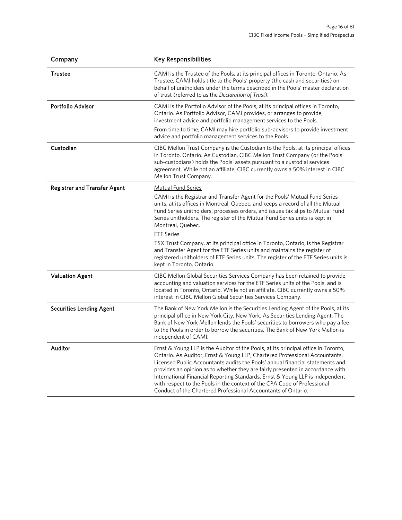| Company                             | <b>Key Responsibilities</b>                                                                                                                                                                                                                                                                                                                                                                                                                                                                                                                                        |
|-------------------------------------|--------------------------------------------------------------------------------------------------------------------------------------------------------------------------------------------------------------------------------------------------------------------------------------------------------------------------------------------------------------------------------------------------------------------------------------------------------------------------------------------------------------------------------------------------------------------|
| Trustee                             | CAMI is the Trustee of the Pools, at its principal offices in Toronto, Ontario. As<br>Trustee, CAMI holds title to the Pools' property (the cash and securities) on<br>behalf of unitholders under the terms described in the Pools' master declaration<br>of trust (referred to as the Declaration of Trust).                                                                                                                                                                                                                                                     |
| <b>Portfolio Advisor</b>            | CAMI is the Portfolio Advisor of the Pools, at its principal offices in Toronto,<br>Ontario. As Portfolio Advisor, CAMI provides, or arranges to provide,<br>investment advice and portfolio management services to the Pools.                                                                                                                                                                                                                                                                                                                                     |
|                                     | From time to time, CAMI may hire portfolio sub-advisors to provide investment<br>advice and portfolio management services to the Pools.                                                                                                                                                                                                                                                                                                                                                                                                                            |
| Custodian                           | CIBC Mellon Trust Company is the Custodian to the Pools, at its principal offices<br>in Toronto, Ontario. As Custodian, CIBC Mellon Trust Company (or the Pools'<br>sub-custodians) holds the Pools' assets pursuant to a custodial services<br>agreement. While not an affiliate, CIBC currently owns a 50% interest in CIBC<br>Mellon Trust Company.                                                                                                                                                                                                             |
| <b>Registrar and Transfer Agent</b> | <b>Mutual Fund Series</b><br>CAMI is the Registrar and Transfer Agent for the Pools' Mutual Fund Series<br>units, at its offices in Montreal, Quebec, and keeps a record of all the Mutual<br>Fund Series unitholders, processes orders, and issues tax slips to Mutual Fund<br>Series unitholders. The register of the Mutual Fund Series units is kept in<br>Montreal, Quebec.                                                                                                                                                                                   |
|                                     | <b>ETF Series</b><br>TSX Trust Company, at its principal office in Toronto, Ontario, is the Registrar<br>and Transfer Agent for the ETF Series units and maintains the register of<br>registered unitholders of ETF Series units. The register of the ETF Series units is<br>kept in Toronto, Ontario.                                                                                                                                                                                                                                                             |
| <b>Valuation Agent</b>              | CIBC Mellon Global Securities Services Company has been retained to provide<br>accounting and valuation services for the ETF Series units of the Pools, and is<br>located in Toronto, Ontario. While not an affiliate, CIBC currently owns a 50%<br>interest in CIBC Mellon Global Securities Services Company.                                                                                                                                                                                                                                                    |
| <b>Securities Lending Agent</b>     | The Bank of New York Mellon is the Securities Lending Agent of the Pools, at its<br>principal office in New York City, New York. As Securities Lending Agent, The<br>Bank of New York Mellon lends the Pools' securities to borrowers who pay a fee<br>to the Pools in order to borrow the securities. The Bank of New York Mellon is<br>independent of CAMI.                                                                                                                                                                                                      |
| Auditor                             | Ernst & Young LLP is the Auditor of the Pools, at its principal office in Toronto,<br>Ontario. As Auditor, Ernst & Young LLP, Chartered Professional Accountants,<br>Licensed Public Accountants audits the Pools' annual financial statements and<br>provides an opinion as to whether they are fairly presented in accordance with<br>International Financial Reporting Standards. Ernst & Young LLP is independent<br>with respect to the Pools in the context of the CPA Code of Professional<br>Conduct of the Chartered Professional Accountants of Ontario. |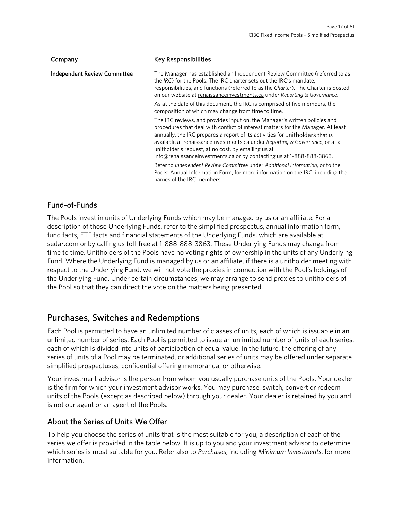| Company                             | <b>Key Responsibilities</b>                                                                                                                                                                                                                                                                                                                                                                                                                                      |
|-------------------------------------|------------------------------------------------------------------------------------------------------------------------------------------------------------------------------------------------------------------------------------------------------------------------------------------------------------------------------------------------------------------------------------------------------------------------------------------------------------------|
| <b>Independent Review Committee</b> | The Manager has established an Independent Review Committee (referred to as<br>the IRC) for the Pools. The IRC charter sets out the IRC's mandate,<br>responsibilities, and functions (referred to as the Charter). The Charter is posted<br>on our website at renaissance investments.ca under Reporting & Governance.                                                                                                                                          |
|                                     | As at the date of this document, the IRC is comprised of five members, the<br>composition of which may change from time to time.                                                                                                                                                                                                                                                                                                                                 |
|                                     | The IRC reviews, and provides input on, the Manager's written policies and<br>procedures that deal with conflict of interest matters for the Manager. At least<br>annually, the IRC prepares a report of its activities for unitholders that is<br>available at renaissance investments.ca under Reporting & Governance, or at a<br>unitholder's request, at no cost, by emailing us at<br>info@renaissanceinvestments.ca or by contacting us at 1-888-888-3863. |
|                                     | Refer to Independent Review Committee under Additional Information, or to the<br>Pools' Annual Information Form, for more information on the IRC, including the<br>names of the IRC members.                                                                                                                                                                                                                                                                     |

# Fund-of-Funds

The Pools invest in units of Underlying Funds which may be managed by us or an affiliate. For a description of those Underlying Funds, refer to the simplified prospectus, annual information form, fund facts, ETF facts and financial statements of the Underlying Funds, which are available at [sedar.com](https://www.sedar.com/) or by calling us toll-free at [1-888-888-3863.](tel:18888883863) These Underlying Funds may change from time to time. Unitholders of the Pools have no voting rights of ownership in the units of any Underlying Fund. Where the Underlying Fund is managed by us or an affiliate, if there is a unitholder meeting with respect to the Underlying Fund, we will not vote the proxies in connection with the Pool's holdings of the Underlying Fund. Under certain circumstances, we may arrange to send proxies to unitholders of the Pool so that they can direct the vote on the matters being presented.

# <span id="page-16-0"></span>Purchases, Switches and Redemptions

Each Pool is permitted to have an unlimited number of classes of units, each of which is issuable in an unlimited number of series. Each Pool is permitted to issue an unlimited number of units of each series, each of which is divided into units of participation of equal value. In the future, the offering of any series of units of a Pool may be terminated, or additional series of units may be offered under separate simplified prospectuses, confidential offering memoranda, or otherwise.

Your investment advisor is the person from whom you usually purchase units of the Pools. Your dealer is the firm for which your investment advisor works. You may purchase, switch, convert or redeem units of the Pools (except as described below) through your dealer. Your dealer is retained by you and is not our agent or an agent of the Pools.

# About the Series of Units We Offer

To help you choose the series of units that is the most suitable for you, a description of each of the series we offer is provided in the table below. It is up to you and your investment advisor to determine which series is most suitable for you. Refer also to *Purchases*, including *Minimum Investments*, for more information.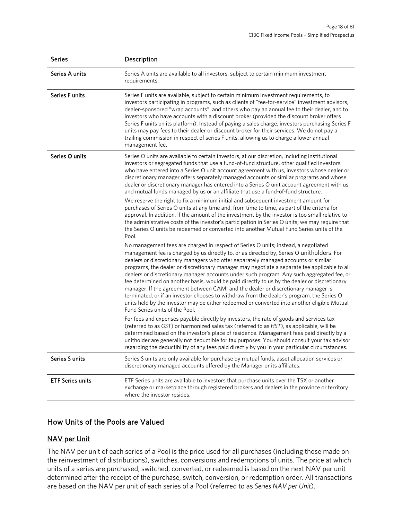| <b>Series</b>           | Description                                                                                                                                                                                                                                                                                                                                                                                                                                                                                                                                                                                                                                                                                                                                                                                                                                                                                                                                                                                                                                                             |
|-------------------------|-------------------------------------------------------------------------------------------------------------------------------------------------------------------------------------------------------------------------------------------------------------------------------------------------------------------------------------------------------------------------------------------------------------------------------------------------------------------------------------------------------------------------------------------------------------------------------------------------------------------------------------------------------------------------------------------------------------------------------------------------------------------------------------------------------------------------------------------------------------------------------------------------------------------------------------------------------------------------------------------------------------------------------------------------------------------------|
| Series A units          | Series A units are available to all investors, subject to certain minimum investment<br>requirements.                                                                                                                                                                                                                                                                                                                                                                                                                                                                                                                                                                                                                                                                                                                                                                                                                                                                                                                                                                   |
| <b>Series Funits</b>    | Series F units are available, subject to certain minimum investment requirements, to<br>investors participating in programs, such as clients of "fee-for-service" investment advisors,<br>dealer-sponsored "wrap accounts", and others who pay an annual fee to their dealer, and to<br>investors who have accounts with a discount broker (provided the discount broker offers<br>Series F units on its platform). Instead of paying a sales charge, investors purchasing Series F<br>units may pay fees to their dealer or discount broker for their services. We do not pay a<br>trailing commission in respect of series F units, allowing us to charge a lower annual<br>management fee.                                                                                                                                                                                                                                                                                                                                                                           |
| Series O units          | Series O units are available to certain investors, at our discretion, including institutional<br>investors or segregated funds that use a fund-of-fund structure, other qualified investors<br>who have entered into a Series O unit account agreement with us, investors whose dealer or<br>discretionary manager offers separately managed accounts or similar programs and whose<br>dealer or discretionary manager has entered into a Series O unit account agreement with us,<br>and mutual funds managed by us or an affiliate that use a fund-of-fund structure.<br>We reserve the right to fix a minimum initial and subsequent investment amount for<br>purchases of Series O units at any time and, from time to time, as part of the criteria for<br>approval. In addition, if the amount of the investment by the investor is too small relative to<br>the administrative costs of the investor's participation in Series O units, we may require that<br>the Series O units be redeemed or converted into another Mutual Fund Series units of the<br>Pool. |
|                         | No management fees are charged in respect of Series O units; instead, a negotiated<br>management fee is charged by us directly to, or as directed by, Series O unitholders. For<br>dealers or discretionary managers who offer separately managed accounts or similar<br>programs, the dealer or discretionary manager may negotiate a separate fee applicable to all<br>dealers or discretionary manager accounts under such program. Any such aggregated fee, or<br>fee determined on another basis, would be paid directly to us by the dealer or discretionary<br>manager. If the agreement between CAMI and the dealer or discretionary manager is<br>terminated, or if an investor chooses to withdraw from the dealer's program, the Series O<br>units held by the investor may be either redeemed or converted into another eligible Mutual<br>Fund Series units of the Pool.                                                                                                                                                                                   |
|                         | For fees and expenses payable directly by investors, the rate of goods and services tax<br>(referred to as GST) or harmonized sales tax (referred to as HST), as applicable, will be<br>determined based on the investor's place of residence. Management fees paid directly by a<br>unitholder are generally not deductible for tax purposes. You should consult your tax advisor<br>regarding the deductibility of any fees paid directly by you in your particular circumstances.                                                                                                                                                                                                                                                                                                                                                                                                                                                                                                                                                                                    |
| Series S units          | Series S units are only available for purchase by mutual funds, asset allocation services or<br>discretionary managed accounts offered by the Manager or its affiliates.                                                                                                                                                                                                                                                                                                                                                                                                                                                                                                                                                                                                                                                                                                                                                                                                                                                                                                |
| <b>ETF Series units</b> | ETF Series units are available to investors that purchase units over the TSX or another<br>exchange or marketplace through registered brokers and dealers in the province or territory<br>where the investor resides.                                                                                                                                                                                                                                                                                                                                                                                                                                                                                                                                                                                                                                                                                                                                                                                                                                                   |

# How Units of the Pools are Valued

### NAV per Unit

The NAV per unit of each series of a Pool is the price used for all purchases (including those made on the reinvestment of distributions), switches, conversions and redemptions of units. The price at which units of a series are purchased, switched, converted, or redeemed is based on the next NAV per unit determined after the receipt of the purchase, switch, conversion, or redemption order. All transactions are based on the NAV per unit of each series of a Pool (referred to as *Series NAV per Unit*).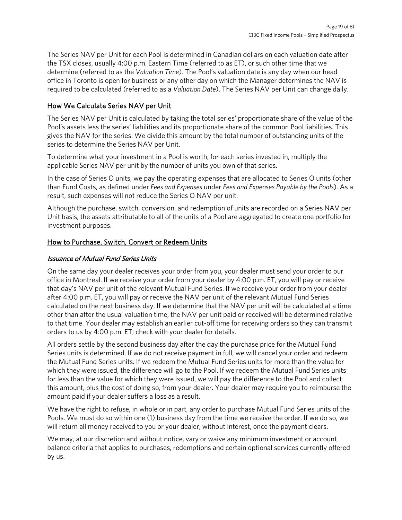The Series NAV per Unit for each Pool is determined in Canadian dollars on each valuation date after the TSX closes, usually 4:00 p.m. Eastern Time (referred to as ET), or such other time that we determine (referred to as the *Valuation Time*). The Pool's valuation date is any day when our head office in Toronto is open for business or any other day on which the Manager determines the NAV is required to be calculated (referred to as a *Valuation Date*). The Series NAV per Unit can change daily.

### How We Calculate Series NAV per Unit

The Series NAV per Unit is calculated by taking the total series' proportionate share of the value of the Pool's assets less the series' liabilities and its proportionate share of the common Pool liabilities. This gives the NAV for the series. We divide this amount by the total number of outstanding units of the series to determine the Series NAV per Unit.

To determine what your investment in a Pool is worth, for each series invested in, multiply the applicable Series NAV per unit by the number of units you own of that series.

In the case of Series O units, we pay the operating expenses that are allocated to Series O units (other than Fund Costs, as defined under *Fees and Expenses* under *Fees and Expenses Payable by the Pools*). As a result, such expenses will not reduce the Series O NAV per unit.

Although the purchase, switch, conversion, and redemption of units are recorded on a Series NAV per Unit basis, the assets attributable to all of the units of a Pool are aggregated to create one portfolio for investment purposes.

### How to Purchase, Switch, Convert or Redeem Units

### Issuance of Mutual Fund Series Units

On the same day your dealer receives your order from you, your dealer must send your order to our office in Montreal. If we receive your order from your dealer by 4:00 p.m. ET, you will pay or receive that day's NAV per unit of the relevant Mutual Fund Series. If we receive your order from your dealer after 4:00 p.m. ET, you will pay or receive the NAV per unit of the relevant Mutual Fund Series calculated on the next business day. If we determine that the NAV per unit will be calculated at a time other than after the usual valuation time, the NAV per unit paid or received will be determined relative to that time. Your dealer may establish an earlier cut-off time for receiving orders so they can transmit orders to us by 4:00 p.m. ET; check with your dealer for details.

All orders settle by the second business day after the day the purchase price for the Mutual Fund Series units is determined. If we do not receive payment in full, we will cancel your order and redeem the Mutual Fund Series units. If we redeem the Mutual Fund Series units for more than the value for which they were issued, the difference will go to the Pool. If we redeem the Mutual Fund Series units for less than the value for which they were issued, we will pay the difference to the Pool and collect this amount, plus the cost of doing so, from your dealer. Your dealer may require you to reimburse the amount paid if your dealer suffers a loss as a result.

We have the right to refuse, in whole or in part, any order to purchase Mutual Fund Series units of the Pools. We must do so within one (1) business day from the time we receive the order. If we do so, we will return all money received to you or your dealer, without interest, once the payment clears.

We may, at our discretion and without notice, vary or waive any minimum investment or account balance criteria that applies to purchases, redemptions and certain optional services currently offered by us.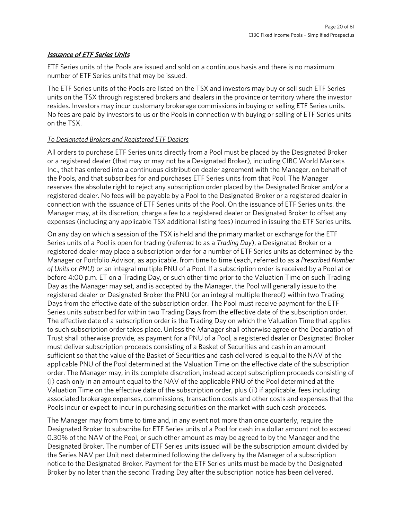### **Issuance of ETF Series Units**

ETF Series units of the Pools are issued and sold on a continuous basis and there is no maximum number of ETF Series units that may be issued.

The ETF Series units of the Pools are listed on the TSX and investors may buy or sell such ETF Series units on the TSX through registered brokers and dealers in the province or territory where the investor resides. Investors may incur customary brokerage commissions in buying or selling ETF Series units. No fees are paid by investors to us or the Pools in connection with buying or selling of ETF Series units on the TSX.

### *To Designated Brokers and Registered ETF Dealers*

All orders to purchase ETF Series units directly from a Pool must be placed by the Designated Broker or a registered dealer (that may or may not be a Designated Broker), including CIBC World Markets Inc., that has entered into a continuous distribution dealer agreement with the Manager, on behalf of the Pools, and that subscribes for and purchases ETF Series units from that Pool. The Manager reserves the absolute right to reject any subscription order placed by the Designated Broker and/or a registered dealer. No fees will be payable by a Pool to the Designated Broker or a registered dealer in connection with the issuance of ETF Series units of the Pool. On the issuance of ETF Series units, the Manager may, at its discretion, charge a fee to a registered dealer or Designated Broker to offset any expenses (including any applicable TSX additional listing fees) incurred in issuing the ETF Series units.

On any day on which a session of the TSX is held and the primary market or exchange for the ETF Series units of a Pool is open for trading (referred to as a *Trading Day*), a Designated Broker or a registered dealer may place a subscription order for a number of ETF Series units as determined by the Manager or Portfolio Advisor, as applicable, from time to time (each, referred to as a *Prescribed Number of Units* or *PNU*) or an integral multiple PNU of a Pool. If a subscription order is received by a Pool at or before 4:00 p.m. ET on a Trading Day, or such other time prior to the Valuation Time on such Trading Day as the Manager may set, and is accepted by the Manager, the Pool will generally issue to the registered dealer or Designated Broker the PNU (or an integral multiple thereof) within two Trading Days from the effective date of the subscription order. The Pool must receive payment for the ETF Series units subscribed for within two Trading Days from the effective date of the subscription order. The effective date of a subscription order is the Trading Day on which the Valuation Time that applies to such subscription order takes place. Unless the Manager shall otherwise agree or the Declaration of Trust shall otherwise provide, as payment for a PNU of a Pool, a registered dealer or Designated Broker must deliver subscription proceeds consisting of a Basket of Securities and cash in an amount sufficient so that the value of the Basket of Securities and cash delivered is equal to the NAV of the applicable PNU of the Pool determined at the Valuation Time on the effective date of the subscription order. The Manager may, in its complete discretion, instead accept subscription proceeds consisting of (i) cash only in an amount equal to the NAV of the applicable PNU of the Pool determined at the Valuation Time on the effective date of the subscription order, plus (ii) if applicable, fees including associated brokerage expenses, commissions, transaction costs and other costs and expenses that the Pools incur or expect to incur in purchasing securities on the market with such cash proceeds.

The Manager may from time to time and, in any event not more than once quarterly, require the Designated Broker to subscribe for ETF Series units of a Pool for cash in a dollar amount not to exceed 0.30% of the NAV of the Pool, or such other amount as may be agreed to by the Manager and the Designated Broker. The number of ETF Series units issued will be the subscription amount divided by the Series NAV per Unit next determined following the delivery by the Manager of a subscription notice to the Designated Broker. Payment for the ETF Series units must be made by the Designated Broker by no later than the second Trading Day after the subscription notice has been delivered.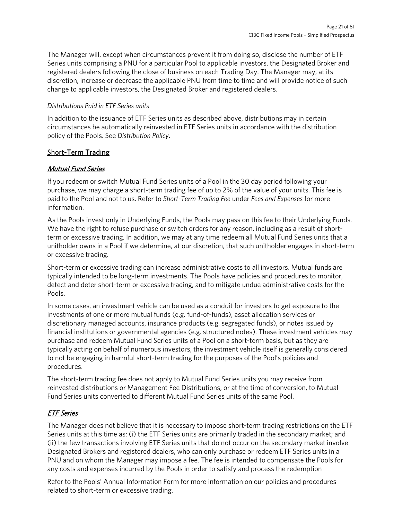The Manager will, except when circumstances prevent it from doing so, disclose the number of ETF Series units comprising a PNU for a particular Pool to applicable investors, the Designated Broker and registered dealers following the close of business on each Trading Day. The Manager may, at its discretion, increase or decrease the applicable PNU from time to time and will provide notice of such change to applicable investors, the Designated Broker and registered dealers.

### *Distributions Paid in ETF Series units*

In addition to the issuance of ETF Series units as described above, distributions may in certain circumstances be automatically reinvested in ETF Series units in accordance with the distribution policy of the Pools. See *Distribution Policy*.

### Short-Term Trading

## Mutual Fund Series

If you redeem or switch Mutual Fund Series units of a Pool in the 30 day period following your purchase, we may charge a short-term trading fee of up to 2% of the value of your units. This fee is paid to the Pool and not to us. Refer to *Short-Term Trading Fee* under *Fees and Expenses* for more information.

As the Pools invest only in Underlying Funds, the Pools may pass on this fee to their Underlying Funds. We have the right to refuse purchase or switch orders for any reason, including as a result of shortterm or excessive trading. In addition, we may at any time redeem all Mutual Fund Series units that a unitholder owns in a Pool if we determine, at our discretion, that such unitholder engages in short-term or excessive trading.

Short-term or excessive trading can increase administrative costs to all investors. Mutual funds are typically intended to be long-term investments. The Pools have policies and procedures to monitor, detect and deter short-term or excessive trading, and to mitigate undue administrative costs for the Pools.

In some cases, an investment vehicle can be used as a conduit for investors to get exposure to the investments of one or more mutual funds (e.g. fund-of-funds), asset allocation services or discretionary managed accounts, insurance products (e.g. segregated funds), or notes issued by financial institutions or governmental agencies (e.g. structured notes). These investment vehicles may purchase and redeem Mutual Fund Series units of a Pool on a short-term basis, but as they are typically acting on behalf of numerous investors, the investment vehicle itself is generally considered to not be engaging in harmful short-term trading for the purposes of the Pool's policies and procedures.

The short-term trading fee does not apply to Mutual Fund Series units you may receive from reinvested distributions or Management Fee Distributions, or at the time of conversion, to Mutual Fund Series units converted to different Mutual Fund Series units of the same Pool.

# ETF Series

The Manager does not believe that it is necessary to impose short-term trading restrictions on the ETF Series units at this time as: (i) the ETF Series units are primarily traded in the secondary market; and (ii) the few transactions involving ETF Series units that do not occur on the secondary market involve Designated Brokers and registered dealers, who can only purchase or redeem ETF Series units in a PNU and on whom the Manager may impose a fee. The fee is intended to compensate the Pools for any costs and expenses incurred by the Pools in order to satisfy and process the redemption

Refer to the Pools' Annual Information Form for more information on our policies and procedures related to short-term or excessive trading.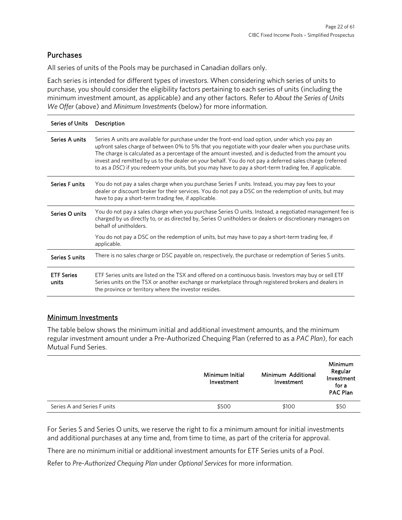# Purchases

All series of units of the Pools may be purchased in Canadian dollars only.

Each series is intended for different types of investors. When considering which series of units to purchase, you should consider the eligibility factors pertaining to each series of units (including the minimum investment amount, as applicable) and any other factors. Refer to *About the Series of Units We Offer* (above) and *Minimum Investments* (below) for more information.

| <b>Series of Units</b>     | Description                                                                                                                                                                                                                                                                                                                                                                                                                                                                                                                               |
|----------------------------|-------------------------------------------------------------------------------------------------------------------------------------------------------------------------------------------------------------------------------------------------------------------------------------------------------------------------------------------------------------------------------------------------------------------------------------------------------------------------------------------------------------------------------------------|
| Series A units             | Series A units are available for purchase under the front-end load option, under which you pay an<br>upfront sales charge of between 0% to 5% that you negotiate with your dealer when you purchase units.<br>The charge is calculated as a percentage of the amount invested, and is deducted from the amount you<br>invest and remitted by us to the dealer on your behalf. You do not pay a deferred sales charge (referred<br>to as a DSC) if you redeem your units, but you may have to pay a short-term trading fee, if applicable. |
| Series F units             | You do not pay a sales charge when you purchase Series F units. Instead, you may pay fees to your<br>dealer or discount broker for their services. You do not pay a DSC on the redemption of units, but may<br>have to pay a short-term trading fee, if applicable.                                                                                                                                                                                                                                                                       |
| Series O units             | You do not pay a sales charge when you purchase Series O units. Instead, a negotiated management fee is<br>charged by us directly to, or as directed by, Series O unitholders or dealers or discretionary managers on<br>behalf of unitholders.                                                                                                                                                                                                                                                                                           |
|                            | You do not pay a DSC on the redemption of units, but may have to pay a short-term trading fee, if<br>applicable.                                                                                                                                                                                                                                                                                                                                                                                                                          |
| Series S units             | There is no sales charge or DSC payable on, respectively, the purchase or redemption of Series S units.                                                                                                                                                                                                                                                                                                                                                                                                                                   |
| <b>ETF Series</b><br>units | ETF Series units are listed on the TSX and offered on a continuous basis. Investors may buy or sell ETF<br>Series units on the TSX or another exchange or marketplace through registered brokers and dealers in<br>the province or territory where the investor resides.                                                                                                                                                                                                                                                                  |

### Minimum Investments

The table below shows the minimum initial and additional investment amounts, and the minimum regular investment amount under a Pre-Authorized Chequing Plan (referred to as a *PAC Plan*), for each Mutual Fund Series.

|                             | Minimum Initial<br>Investment | Minimum Additional<br>Investment | Minimum<br>Regular<br>Investment<br>for a<br><b>PAC Plan</b> |
|-----------------------------|-------------------------------|----------------------------------|--------------------------------------------------------------|
| Series A and Series F units | \$500                         | \$100                            | \$50                                                         |

For Series S and Series O units, we reserve the right to fix a minimum amount for initial investments and additional purchases at any time and, from time to time, as part of the criteria for approval.

There are no minimum initial or additional investment amounts for ETF Series units of a Pool.

Refer to *Pre-Authorized Chequing Plan* under *Optional Services* for more information.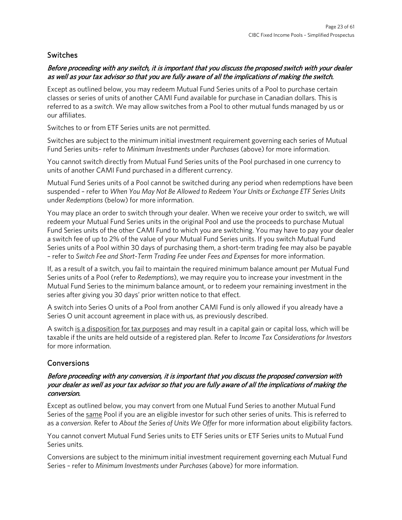## Switches

### Before proceeding with any switch, it is important that you discuss the proposed switch with your dealer as well as your tax advisor so that you are fully aware of all the implications of making the switch.

Except as outlined below, you may redeem Mutual Fund Series units of a Pool to purchase certain classes or series of units of another CAMI Fund available for purchase in Canadian dollars. This is referred to as a *switch*. We may allow switches from a Pool to other mutual funds managed by us or our affiliates.

Switches to or from ETF Series units are not permitted.

Switches are subject to the minimum initial investment requirement governing each series of Mutual Fund Series units– refer to *Minimum Investments* under *Purchases* (above) for more information.

You cannot switch directly from Mutual Fund Series units of the Pool purchased in one currency to units of another CAMI Fund purchased in a different currency.

Mutual Fund Series units of a Pool cannot be switched during any period when redemptions have been suspended – refer to *When You May Not Be Allowed to Redeem Your Units or Exchange ETF Series Units* under *Redemptions* (below) for more information.

You may place an order to switch through your dealer. When we receive your order to switch, we will redeem your Mutual Fund Series units in the original Pool and use the proceeds to purchase Mutual Fund Series units of the other CAMI Fund to which you are switching. You may have to pay your dealer a switch fee of up to 2% of the value of your Mutual Fund Series units. If you switch Mutual Fund Series units of a Pool within 30 days of purchasing them, a short-term trading fee may also be payable – refer to *Switch Fee and Short-Term Trading Fee* under *Fees and Expenses* for more information.

If, as a result of a switch, you fail to maintain the required minimum balance amount per Mutual Fund Series units of a Pool (refer to *Redemptions*), we may require you to increase your investment in the Mutual Fund Series to the minimum balance amount, or to redeem your remaining investment in the series after giving you 30 days' prior written notice to that effect.

A switch into Series O units of a Pool from another CAMI Fund is only allowed if you already have a Series O unit account agreement in place with us, as previously described.

A switch is a disposition for tax purposes and may result in a capital gain or capital loss, which will be taxable if the units are held outside of a registered plan. Refer to *Income Tax Considerations for Investors* for more information.

# **Conversions**

### Before proceeding with any conversion, it is important that you discuss the proposed conversion with your dealer as well as your tax advisor so that you are fully aware of all the implications of making the conversion.

Except as outlined below, you may convert from one Mutual Fund Series to another Mutual Fund Series of the same Pool if you are an eligible investor for such other series of units. This is referred to as a *conversion*. Refer to *About the Series of Units We Offer* for more information about eligibility factors.

You cannot convert Mutual Fund Series units to ETF Series units or ETF Series units to Mutual Fund Series units.

Conversions are subject to the minimum initial investment requirement governing each Mutual Fund Series – refer to *Minimum Investments* under *Purchases* (above) for more information.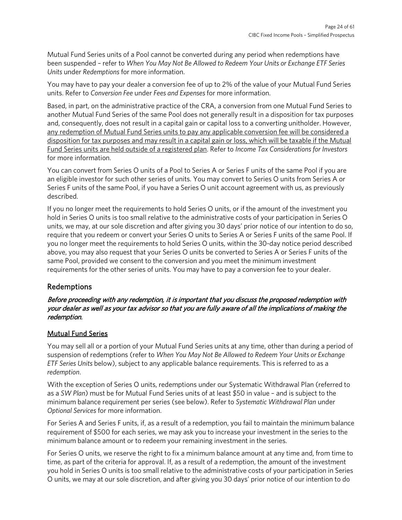Mutual Fund Series units of a Pool cannot be converted during any period when redemptions have been suspended – refer to *When You May Not Be Allowed to Redeem Your Units or Exchange ETF Series Units* under *Redemptions* for more information.

You may have to pay your dealer a conversion fee of up to 2% of the value of your Mutual Fund Series units. Refer to *Conversion Fee* under *Fees and Expenses* for more information.

Based, in part, on the administrative practice of the CRA, a conversion from one Mutual Fund Series to another Mutual Fund Series of the same Pool does not generally result in a disposition for tax purposes and, consequently, does not result in a capital gain or capital loss to a converting unitholder. However, any redemption of Mutual Fund Series units to pay any applicable conversion fee will be considered a disposition for tax purposes and may result in a capital gain or loss, which will be taxable if the Mutual Fund Series units are held outside of a registered plan. Refer to *Income Tax Considerations for Investors* for more information.

You can convert from Series O units of a Pool to Series A or Series F units of the same Pool if you are an eligible investor for such other series of units. You may convert to Series O units from Series A or Series F units of the same Pool, if you have a Series O unit account agreement with us, as previously described.

If you no longer meet the requirements to hold Series O units, or if the amount of the investment you hold in Series O units is too small relative to the administrative costs of your participation in Series O units, we may, at our sole discretion and after giving you 30 days' prior notice of our intention to do so, require that you redeem or convert your Series O units to Series A or Series F units of the same Pool. If you no longer meet the requirements to hold Series O units, within the 30-day notice period described above, you may also request that your Series O units be converted to Series A or Series F units of the same Pool, provided we consent to the conversion and you meet the minimum investment requirements for the other series of units. You may have to pay a conversion fee to your dealer.

### Redemptions

### Before proceeding with any redemption, it is important that you discuss the proposed redemption with your dealer as well as your tax advisor so that you are fully aware of all the implications of making the redemption.

### Mutual Fund Series

You may sell all or a portion of your Mutual Fund Series units at any time, other than during a period of suspension of redemptions (refer to *When You May Not Be Allowed to Redeem Your Units or Exchange ETF Series Units* below), subject to any applicable balance requirements. This is referred to as a *redemption*.

With the exception of Series O units, redemptions under our Systematic Withdrawal Plan (referred to as a *SW Plan*) must be for Mutual Fund Series units of at least \$50 in value – and is subject to the minimum balance requirement per series (see below). Refer to *Systematic Withdrawal Plan* under *Optional Services* for more information.

For Series A and Series F units, if, as a result of a redemption, you fail to maintain the minimum balance requirement of \$500 for each series, we may ask you to increase your investment in the series to the minimum balance amount or to redeem your remaining investment in the series.

For Series O units, we reserve the right to fix a minimum balance amount at any time and, from time to time, as part of the criteria for approval. If, as a result of a redemption, the amount of the investment you hold in Series O units is too small relative to the administrative costs of your participation in Series O units, we may at our sole discretion, and after giving you 30 days' prior notice of our intention to do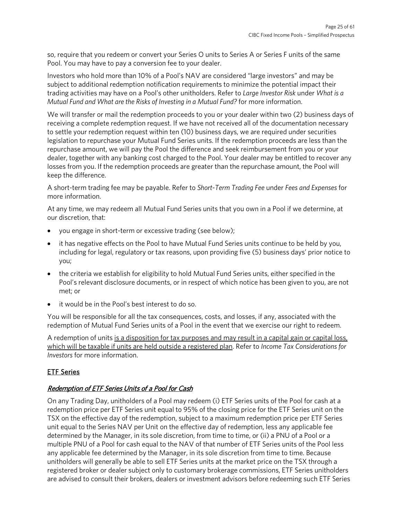so, require that you redeem or convert your Series O units to Series A or Series F units of the same Pool. You may have to pay a conversion fee to your dealer.

Investors who hold more than 10% of a Pool's NAV are considered "large investors" and may be subject to additional redemption notification requirements to minimize the potential impact their trading activities may have on a Pool's other unitholders. Refer to *Large Investor Risk* under *What is a Mutual Fund and What are the Risks of Investing in a Mutual Fund?* for more information.

We will transfer or mail the redemption proceeds to you or your dealer within two (2) business days of receiving a complete redemption request. If we have not received all of the documentation necessary to settle your redemption request within ten (10) business days, we are required under securities legislation to repurchase your Mutual Fund Series units. If the redemption proceeds are less than the repurchase amount, we will pay the Pool the difference and seek reimbursement from you or your dealer, together with any banking cost charged to the Pool. Your dealer may be entitled to recover any losses from you. If the redemption proceeds are greater than the repurchase amount, the Pool will keep the difference.

A short-term trading fee may be payable. Refer to *Short-Term Trading Fee* under *Fees and Expenses* for more information.

At any time, we may redeem all Mutual Fund Series units that you own in a Pool if we determine, at our discretion, that:

- you engage in short-term or excessive trading (see below);
- it has negative effects on the Pool to have Mutual Fund Series units continue to be held by you, including for legal, regulatory or tax reasons, upon providing five (5) business days' prior notice to you;
- the criteria we establish for eligibility to hold Mutual Fund Series units, either specified in the Pool's relevant disclosure documents, or in respect of which notice has been given to you, are not met; or
- it would be in the Pool's best interest to do so.

You will be responsible for all the tax consequences, costs, and losses, if any, associated with the redemption of Mutual Fund Series units of a Pool in the event that we exercise our right to redeem.

A redemption of units is a disposition for tax purposes and may result in a capital gain or capital loss, which will be taxable if units are held outside a registered plan. Refer to *Income Tax Considerations for Investors* for more information.

### ETF Series

### Redemption of ETF Series Units of a Pool for Cash

On any Trading Day, unitholders of a Pool may redeem (i) ETF Series units of the Pool for cash at a redemption price per ETF Series unit equal to 95% of the closing price for the ETF Series unit on the TSX on the effective day of the redemption, subject to a maximum redemption price per ETF Series unit equal to the Series NAV per Unit on the effective day of redemption, less any applicable fee determined by the Manager, in its sole discretion, from time to time, or (ii) a PNU of a Pool or a multiple PNU of a Pool for cash equal to the NAV of that number of ETF Series units of the Pool less any applicable fee determined by the Manager, in its sole discretion from time to time. Because unitholders will generally be able to sell ETF Series units at the market price on the TSX through a registered broker or dealer subject only to customary brokerage commissions, ETF Series unitholders are advised to consult their brokers, dealers or investment advisors before redeeming such ETF Series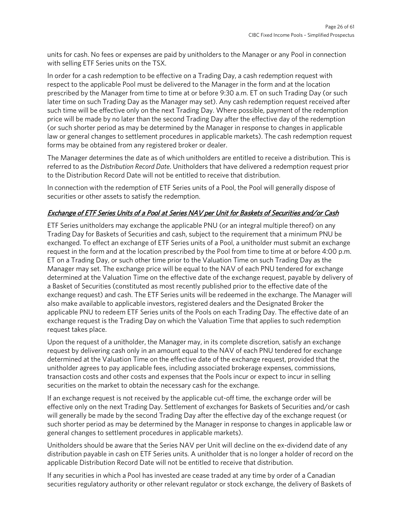units for cash. No fees or expenses are paid by unitholders to the Manager or any Pool in connection with selling ETF Series units on the TSX.

In order for a cash redemption to be effective on a Trading Day, a cash redemption request with respect to the applicable Pool must be delivered to the Manager in the form and at the location prescribed by the Manager from time to time at or before 9:30 a.m. ET on such Trading Day (or such later time on such Trading Day as the Manager may set). Any cash redemption request received after such time will be effective only on the next Trading Day. Where possible, payment of the redemption price will be made by no later than the second Trading Day after the effective day of the redemption (or such shorter period as may be determined by the Manager in response to changes in applicable law or general changes to settlement procedures in applicable markets). The cash redemption request forms may be obtained from any registered broker or dealer.

The Manager determines the date as of which unitholders are entitled to receive a distribution. This is referred to as the *Distribution Record Date*. Unitholders that have delivered a redemption request prior to the Distribution Record Date will not be entitled to receive that distribution.

In connection with the redemption of ETF Series units of a Pool, the Pool will generally dispose of securities or other assets to satisfy the redemption.

### Exchange of ETF Series Units of a Pool at Series NAV per Unit for Baskets of Securities and/or Cash

ETF Series unitholders may exchange the applicable PNU (or an integral multiple thereof) on any Trading Day for Baskets of Securities and cash, subject to the requirement that a minimum PNU be exchanged. To effect an exchange of ETF Series units of a Pool, a unitholder must submit an exchange request in the form and at the location prescribed by the Pool from time to time at or before 4:00 p.m. ET on a Trading Day, or such other time prior to the Valuation Time on such Trading Day as the Manager may set. The exchange price will be equal to the NAV of each PNU tendered for exchange determined at the Valuation Time on the effective date of the exchange request, payable by delivery of a Basket of Securities (constituted as most recently published prior to the effective date of the exchange request) and cash. The ETF Series units will be redeemed in the exchange. The Manager will also make available to applicable investors, registered dealers and the Designated Broker the applicable PNU to redeem ETF Series units of the Pools on each Trading Day. The effective date of an exchange request is the Trading Day on which the Valuation Time that applies to such redemption request takes place.

Upon the request of a unitholder, the Manager may, in its complete discretion, satisfy an exchange request by delivering cash only in an amount equal to the NAV of each PNU tendered for exchange determined at the Valuation Time on the effective date of the exchange request, provided that the unitholder agrees to pay applicable fees, including associated brokerage expenses, commissions, transaction costs and other costs and expenses that the Pools incur or expect to incur in selling securities on the market to obtain the necessary cash for the exchange.

If an exchange request is not received by the applicable cut-off time, the exchange order will be effective only on the next Trading Day. Settlement of exchanges for Baskets of Securities and/or cash will generally be made by the second Trading Day after the effective day of the exchange request (or such shorter period as may be determined by the Manager in response to changes in applicable law or general changes to settlement procedures in applicable markets).

Unitholders should be aware that the Series NAV per Unit will decline on the ex-dividend date of any distribution payable in cash on ETF Series units. A unitholder that is no longer a holder of record on the applicable Distribution Record Date will not be entitled to receive that distribution.

If any securities in which a Pool has invested are cease traded at any time by order of a Canadian securities regulatory authority or other relevant regulator or stock exchange, the delivery of Baskets of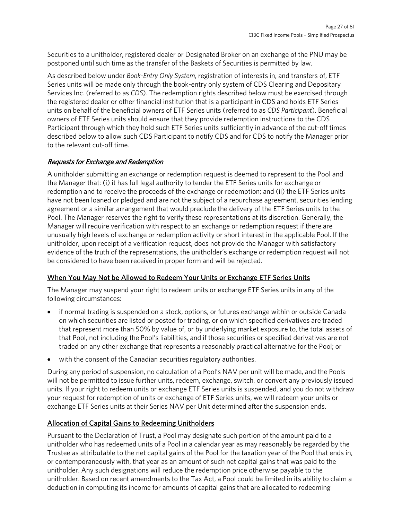Securities to a unitholder, registered dealer or Designated Broker on an exchange of the PNU may be postponed until such time as the transfer of the Baskets of Securities is permitted by law.

As described below under *Book-Entry Only System*, registration of interests in, and transfers of, ETF Series units will be made only through the book-entry only system of CDS Clearing and Depositary Services Inc. (referred to as *CDS*). The redemption rights described below must be exercised through the registered dealer or other financial institution that is a participant in CDS and holds ETF Series units on behalf of the beneficial owners of ETF Series units (referred to as *CDS Participant*). Beneficial owners of ETF Series units should ensure that they provide redemption instructions to the CDS Participant through which they hold such ETF Series units sufficiently in advance of the cut-off times described below to allow such CDS Participant to notify CDS and for CDS to notify the Manager prior to the relevant cut-off time.

### Requests for Exchange and Redemption

A unitholder submitting an exchange or redemption request is deemed to represent to the Pool and the Manager that: (i) it has full legal authority to tender the ETF Series units for exchange or redemption and to receive the proceeds of the exchange or redemption; and (ii) the ETF Series units have not been loaned or pledged and are not the subject of a repurchase agreement, securities lending agreement or a similar arrangement that would preclude the delivery of the ETF Series units to the Pool. The Manager reserves the right to verify these representations at its discretion. Generally, the Manager will require verification with respect to an exchange or redemption request if there are unusually high levels of exchange or redemption activity or short interest in the applicable Pool. If the unitholder, upon receipt of a verification request, does not provide the Manager with satisfactory evidence of the truth of the representations, the unitholder's exchange or redemption request will not be considered to have been received in proper form and will be rejected.

### When You May Not be Allowed to Redeem Your Units or Exchange ETF Series Units

The Manager may suspend your right to redeem units or exchange ETF Series units in any of the following circumstances:

- if normal trading is suspended on a stock, options, or futures exchange within or outside Canada on which securities are listed or posted for trading, or on which specified derivatives are traded that represent more than 50% by value of, or by underlying market exposure to, the total assets of that Pool, not including the Pool's liabilities, and if those securities or specified derivatives are not traded on any other exchange that represents a reasonably practical alternative for the Pool; or
- with the consent of the Canadian securities regulatory authorities.

During any period of suspension, no calculation of a Pool's NAV per unit will be made, and the Pools will not be permitted to issue further units, redeem, exchange, switch, or convert any previously issued units. If your right to redeem units or exchange ETF Series units is suspended, and you do not withdraw your request for redemption of units or exchange of ETF Series units, we will redeem your units or exchange ETF Series units at their Series NAV per Unit determined after the suspension ends.

### Allocation of Capital Gains to Redeeming Unitholders

Pursuant to the Declaration of Trust, a Pool may designate such portion of the amount paid to a unitholder who has redeemed units of a Pool in a calendar year as may reasonably be regarded by the Trustee as attributable to the net capital gains of the Pool for the taxation year of the Pool that ends in, or contemporaneously with, that year as an amount of such net capital gains that was paid to the unitholder. Any such designations will reduce the redemption price otherwise payable to the unitholder. Based on recent amendments to the Tax Act, a Pool could be limited in its ability to claim a deduction in computing its income for amounts of capital gains that are allocated to redeeming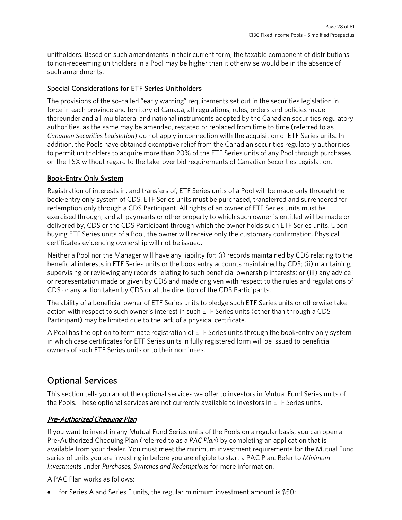unitholders. Based on such amendments in their current form, the taxable component of distributions to non-redeeming unitholders in a Pool may be higher than it otherwise would be in the absence of such amendments.

### Special Considerations for ETF Series Unitholders

The provisions of the so-called "early warning" requirements set out in the securities legislation in force in each province and territory of Canada, all regulations, rules, orders and policies made thereunder and all multilateral and national instruments adopted by the Canadian securities regulatory authorities, as the same may be amended, restated or replaced from time to time (referred to as *Canadian Securities Legislation*) do not apply in connection with the acquisition of ETF Series units. In addition, the Pools have obtained exemptive relief from the Canadian securities regulatory authorities to permit unitholders to acquire more than 20% of the ETF Series units of any Pool through purchases on the TSX without regard to the take-over bid requirements of Canadian Securities Legislation.

### Book-Entry Only System

Registration of interests in, and transfers of, ETF Series units of a Pool will be made only through the book-entry only system of CDS. ETF Series units must be purchased, transferred and surrendered for redemption only through a CDS Participant. All rights of an owner of ETF Series units must be exercised through, and all payments or other property to which such owner is entitled will be made or delivered by, CDS or the CDS Participant through which the owner holds such ETF Series units. Upon buying ETF Series units of a Pool, the owner will receive only the customary confirmation. Physical certificates evidencing ownership will not be issued.

Neither a Pool nor the Manager will have any liability for: (i) records maintained by CDS relating to the beneficial interests in ETF Series units or the book entry accounts maintained by CDS; (ii) maintaining, supervising or reviewing any records relating to such beneficial ownership interests; or (iii) any advice or representation made or given by CDS and made or given with respect to the rules and regulations of CDS or any action taken by CDS or at the direction of the CDS Participants.

The ability of a beneficial owner of ETF Series units to pledge such ETF Series units or otherwise take action with respect to such owner's interest in such ETF Series units (other than through a CDS Participant) may be limited due to the lack of a physical certificate.

A Pool has the option to terminate registration of ETF Series units through the book-entry only system in which case certificates for ETF Series units in fully registered form will be issued to beneficial owners of such ETF Series units or to their nominees.

# <span id="page-27-0"></span>Optional Services

This section tells you about the optional services we offer to investors in Mutual Fund Series units of the Pools. These optional services are not currently available to investors in ETF Series units.

### Pre-Authorized Chequing Plan

If you want to invest in any Mutual Fund Series units of the Pools on a regular basis, you can open a Pre-Authorized Chequing Plan (referred to as a *PAC Plan*) by completing an application that is available from your dealer. You must meet the minimum investment requirements for the Mutual Fund series of units you are investing in before you are eligible to start a PAC Plan. Refer to *Minimum Investments* under *Purchases, Switches and Redemptions* for more information.

A PAC Plan works as follows:

• for Series A and Series F units, the regular minimum investment amount is \$50;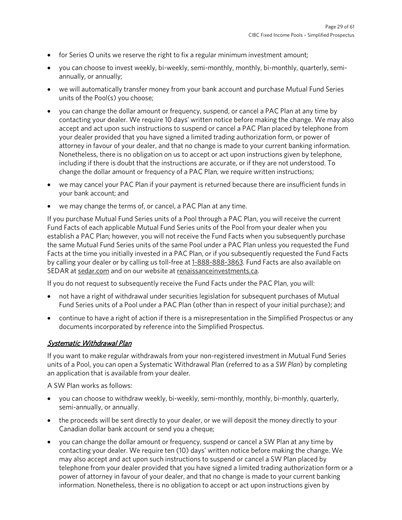- for Series O units we reserve the right to fix a regular minimum investment amount;
- you can choose to invest weekly, bi-weekly, semi-monthly, monthly, bi-monthly, quarterly, semiannually, or annually;
- we will automatically transfer money from your bank account and purchase Mutual Fund Series units of the Pool(s) you choose;
- you can change the dollar amount or frequency, suspend, or cancel a PAC Plan at any time by contacting your dealer. We require 10 days' written notice before making the change. We may also accept and act upon such instructions to suspend or cancel a PAC Plan placed by telephone from your dealer provided that you have signed a limited trading authorization form, or power of attorney in favour of your dealer, and that no change is made to your current banking information. Nonetheless, there is no obligation on us to accept or act upon instructions given by telephone, including if there is doubt that the instructions are accurate, or if they are not understood. To change the dollar amount or frequency of a PAC Plan, we require written instructions;
- we may cancel your PAC Plan if your payment is returned because there are insufficient funds in your bank account; and
- we may change the terms of, or cancel, a PAC Plan at any time.

If you purchase Mutual Fund Series units of a Pool through a PAC Plan, you will receive the current Fund Facts of each applicable Mutual Fund Series units of the Pool from your dealer when you establish a PAC Plan; however, you will not receive the Fund Facts when you subsequently purchase the same Mutual Fund Series units of the same Pool under a PAC Plan unless you requested the Fund Facts at the time you initially invested in a PAC Plan, or if you subsequently requested the Fund Facts by calling your dealer or by calling us toll-free a[t 1-888-888-3863.](tel:18888883863) Fund Facts are also available on SEDAR a[t sedar.com](http://sedar.com/) and on our website a[t renaissanceinvestments.ca.](https://www.renaissanceinvestments.ca/)

If you do not request to subsequently receive the Fund Facts under the PAC Plan, you will:

- not have a right of withdrawal under securities legislation for subsequent purchases of Mutual Fund Series units of a Pool under a PAC Plan (other than in respect of your initial purchase); and
- continue to have a right of action if there is a misrepresentation in the Simplified Prospectus or any documents incorporated by reference into the Simplified Prospectus.

### **Systematic Withdrawal Plan**

If you want to make regular withdrawals from your non-registered investment in Mutual Fund Series units of a Pool, you can open a Systematic Withdrawal Plan (referred to as a *SW Plan*) by completing an application that is available from your dealer.

A SW Plan works as follows:

- you can choose to withdraw weekly, bi-weekly, semi-monthly, monthly, bi-monthly, quarterly, semi-annually, or annually.
- the proceeds will be sent directly to your dealer, or we will deposit the money directly to your Canadian dollar bank account or send you a cheque;
- you can change the dollar amount or frequency, suspend or cancel a SW Plan at any time by contacting your dealer. We require ten (10) days' written notice before making the change. We may also accept and act upon such instructions to suspend or cancel a SW Plan placed by telephone from your dealer provided that you have signed a limited trading authorization form or a power of attorney in favour of your dealer, and that no change is made to your current banking information. Nonetheless, there is no obligation to accept or act upon instructions given by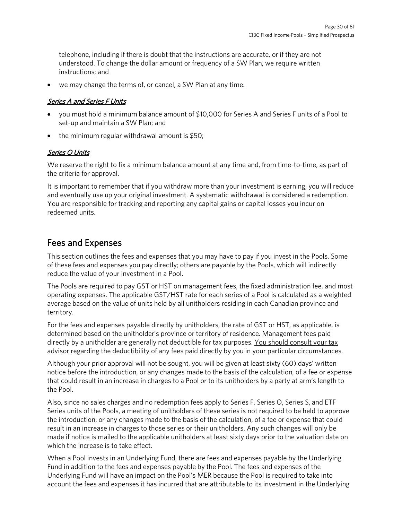telephone, including if there is doubt that the instructions are accurate, or if they are not understood. To change the dollar amount or frequency of a SW Plan, we require written instructions; and

we may change the terms of, or cancel, a SW Plan at any time.

### Series A and Series F Units

- you must hold a minimum balance amount of \$10,000 for Series A and Series F units of a Pool to set-up and maintain a SW Plan; and
- the minimum regular withdrawal amount is \$50;

### Series O Units

We reserve the right to fix a minimum balance amount at any time and, from time-to-time, as part of the criteria for approval.

It is important to remember that if you withdraw more than your investment is earning, you will reduce and eventually use up your original investment. A systematic withdrawal is considered a redemption. You are responsible for tracking and reporting any capital gains or capital losses you incur on redeemed units.

# <span id="page-29-0"></span>Fees and Expenses

This section outlines the fees and expenses that you may have to pay if you invest in the Pools. Some of these fees and expenses you pay directly; others are payable by the Pools, which will indirectly reduce the value of your investment in a Pool.

The Pools are required to pay GST or HST on management fees, the fixed administration fee, and most operating expenses. The applicable GST/HST rate for each series of a Pool is calculated as a weighted average based on the value of units held by all unitholders residing in each Canadian province and territory.

For the fees and expenses payable directly by unitholders, the rate of GST or HST, as applicable, is determined based on the unitholder's province or territory of residence. Management fees paid directly by a unitholder are generally not deductible for tax purposes. You should consult your tax advisor regarding the deductibility of any fees paid directly by you in your particular circumstances.

Although your prior approval will not be sought, you will be given at least sixty (60) days' written notice before the introduction, or any changes made to the basis of the calculation, of a fee or expense that could result in an increase in charges to a Pool or to its unitholders by a party at arm's length to the Pool.

Also, since no sales charges and no redemption fees apply to Series F, Series O, Series S, and ETF Series units of the Pools, a meeting of unitholders of these series is not required to be held to approve the introduction, or any changes made to the basis of the calculation, of a fee or expense that could result in an increase in charges to those series or their unitholders. Any such changes will only be made if notice is mailed to the applicable unitholders at least sixty days prior to the valuation date on which the increase is to take effect.

When a Pool invests in an Underlying Fund, there are fees and expenses payable by the Underlying Fund in addition to the fees and expenses payable by the Pool. The fees and expenses of the Underlying Fund will have an impact on the Pool's MER because the Pool is required to take into account the fees and expenses it has incurred that are attributable to its investment in the Underlying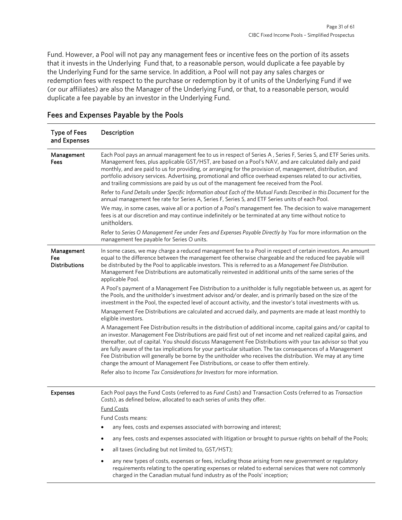Fund. However, a Pool will not pay any management fees or incentive fees on the portion of its assets that it invests in the Underlying Fund that, to a reasonable person, would duplicate a fee payable by the Underlying Fund for the same service. In addition, a Pool will not pay any sales charges or redemption fees with respect to the purchase or redemption by it of units of the Underlying Fund if we (or our affiliates) are also the Manager of the Underlying Fund, or that, to a reasonable person, would duplicate a fee payable by an investor in the Underlying Fund.

| <b>Type of Fees</b><br>and Expenses       | Description                                                                                                                                                                                                                                                                                                                                                                                                                                                                                                                                                                                                                                                              |
|-------------------------------------------|--------------------------------------------------------------------------------------------------------------------------------------------------------------------------------------------------------------------------------------------------------------------------------------------------------------------------------------------------------------------------------------------------------------------------------------------------------------------------------------------------------------------------------------------------------------------------------------------------------------------------------------------------------------------------|
| Management<br>Fees                        | Each Pool pays an annual management fee to us in respect of Series A, Series F, Series S, and ETF Series units.<br>Management fees, plus applicable GST/HST, are based on a Pool's NAV, and are calculated daily and paid<br>monthly, and are paid to us for providing, or arranging for the provision of, management, distribution, and<br>portfolio advisory services. Advertising, promotional and office overhead expenses related to our activities,<br>and trailing commissions are paid by us out of the management fee received from the Pool.                                                                                                                   |
|                                           | Refer to Fund Details under Specific Information about Each of the Mutual Funds Described in this Document for the<br>annual management fee rate for Series A, Series F, Series S, and ETF Series units of each Pool.                                                                                                                                                                                                                                                                                                                                                                                                                                                    |
|                                           | We may, in some cases, waive all or a portion of a Pool's management fee. The decision to waive management<br>fees is at our discretion and may continue indefinitely or be terminated at any time without notice to<br>unitholders.                                                                                                                                                                                                                                                                                                                                                                                                                                     |
|                                           | Refer to Series O Management Fee under Fees and Expenses Payable Directly by You for more information on the<br>management fee payable for Series O units.                                                                                                                                                                                                                                                                                                                                                                                                                                                                                                               |
| Management<br>Fee<br><b>Distributions</b> | In some cases, we may charge a reduced management fee to a Pool in respect of certain investors. An amount<br>equal to the difference between the management fee otherwise chargeable and the reduced fee payable will<br>be distributed by the Pool to applicable investors. This is referred to as a Management Fee Distribution.<br>Management Fee Distributions are automatically reinvested in additional units of the same series of the<br>applicable Pool.                                                                                                                                                                                                       |
|                                           | A Pool's payment of a Management Fee Distribution to a unitholder is fully negotiable between us, as agent for<br>the Pools, and the unitholder's investment advisor and/or dealer, and is primarily based on the size of the<br>investment in the Pool, the expected level of account activity, and the investor's total investments with us.                                                                                                                                                                                                                                                                                                                           |
|                                           | Management Fee Distributions are calculated and accrued daily, and payments are made at least monthly to<br>eligible investors.                                                                                                                                                                                                                                                                                                                                                                                                                                                                                                                                          |
|                                           | A Management Fee Distribution results in the distribution of additional income, capital gains and/or capital to<br>an investor. Management Fee Distributions are paid first out of net income and net realized capital gains, and<br>thereafter, out of capital. You should discuss Management Fee Distributions with your tax advisor so that you<br>are fully aware of the tax implications for your particular situation. The tax consequences of a Management<br>Fee Distribution will generally be borne by the unitholder who receives the distribution. We may at any time<br>change the amount of Management Fee Distributions, or cease to offer them entirely. |
|                                           | Refer also to Income Tax Considerations for Investors for more information.                                                                                                                                                                                                                                                                                                                                                                                                                                                                                                                                                                                              |
| <b>Expenses</b>                           | Each Pool pays the Fund Costs (referred to as Fund Costs) and Transaction Costs (referred to as Transaction<br>Costs), as defined below, allocated to each series of units they offer.                                                                                                                                                                                                                                                                                                                                                                                                                                                                                   |
|                                           | <b>Fund Costs</b><br>Fund Costs means:                                                                                                                                                                                                                                                                                                                                                                                                                                                                                                                                                                                                                                   |
|                                           | any fees, costs and expenses associated with borrowing and interest;<br>$\bullet$                                                                                                                                                                                                                                                                                                                                                                                                                                                                                                                                                                                        |
|                                           | any fees, costs and expenses associated with litigation or brought to pursue rights on behalf of the Pools;<br>$\bullet$                                                                                                                                                                                                                                                                                                                                                                                                                                                                                                                                                 |
|                                           | all taxes (including but not limited to, GST/HST);<br>$\bullet$                                                                                                                                                                                                                                                                                                                                                                                                                                                                                                                                                                                                          |
|                                           | any new types of costs, expenses or fees, including those arising from new government or regulatory<br>$\bullet$                                                                                                                                                                                                                                                                                                                                                                                                                                                                                                                                                         |
|                                           | requirements relating to the operating expenses or related to external services that were not commonly<br>charged in the Canadian mutual fund industry as of the Pools' inception;                                                                                                                                                                                                                                                                                                                                                                                                                                                                                       |

## Fees and Expenses Payable by the Pools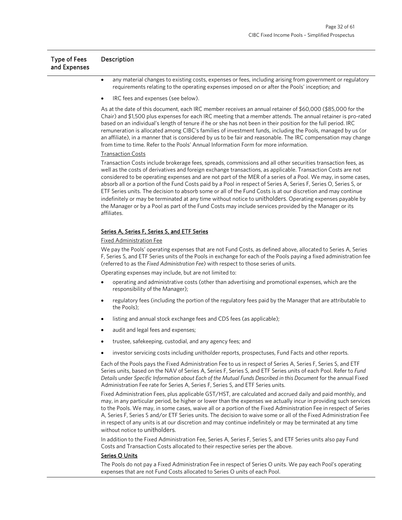| <b>Type of Fees</b><br>and Expenses | Description |  |  |  |  |
|-------------------------------------|-------------|--|--|--|--|
|                                     | .           |  |  |  |  |

- any material changes to existing costs, expenses or fees, including arising from government or regulatory requirements relating to the operating expenses imposed on or after the Pools' inception; and
- IRC fees and expenses (see below).

As at the date of this document, each IRC member receives an annual retainer of \$60,000 (\$85,000 for the Chair) and \$1,500 plus expenses for each IRC meeting that a member attends. The annual retainer is pro-rated based on an individual's length of tenure if he or she has not been in their position for the full period. IRC remuneration is allocated among CIBC's families of investment funds, including the Pools, managed by us (or an affiliate), in a manner that is considered by us to be fair and reasonable. The IRC compensation may change from time to time. Refer to the Pools' Annual Information Form for more information.

#### Transaction Costs

Transaction Costs include brokerage fees, spreads, commissions and all other securities transaction fees, as well as the costs of derivatives and foreign exchange transactions, as applicable. Transaction Costs are not considered to be operating expenses and are not part of the MER of a series of a Pool. We may, in some cases, absorb all or a portion of the Fund Costs paid by a Pool in respect of Series A, Series F, Series O, Series S, or ETF Series units. The decision to absorb some or all of the Fund Costs is at our discretion and may continue indefinitely or may be terminated at any time without notice to unitholders. Operating expenses payable by the Manager or by a Pool as part of the Fund Costs may include services provided by the Manager or its affiliates.

#### Series A, Series F, Series S, and ETF Series

#### Fixed Administration Fee

We pay the Pools' operating expenses that are not Fund Costs, as defined above, allocated to Series A, Series F, Series S, and ETF Series units of the Pools in exchange for each of the Pools paying a fixed administration fee (referred to as the *Fixed Administration Fee*) with respect to those series of units.

Operating expenses may include, but are not limited to:

- operating and administrative costs (other than advertising and promotional expenses, which are the responsibility of the Manager);
- regulatory fees (including the portion of the regulatory fees paid by the Manager that are attributable to the Pools);
- listing and annual stock exchange fees and CDS fees (as applicable);
- audit and legal fees and expenses;
- trustee, safekeeping, custodial, and any agency fees; and
- investor servicing costs including unitholder reports, prospectuses, Fund Facts and other reports.

Each of the Pools pays the Fixed Administration Fee to us in respect of Series A, Series F, Series S, and ETF Series units, based on the NAV of Series A, Series F, Series S, and ETF Series units of each Pool. Refer to *Fund Details* under *Specific Information about Each of the Mutual Funds Described in this Document* for the annual Fixed Administration Fee rate for Series A, Series F, Series S, and ETF Series units.

Fixed Administration Fees, plus applicable GST/HST, are calculated and accrued daily and paid monthly, and may, in any particular period, be higher or lower than the expenses we actually incur in providing such services to the Pools. We may, in some cases, waive all or a portion of the Fixed Administration Fee in respect of Series A, Series F, Series S and/or ETF Series units. The decision to waive some or all of the Fixed Administration Fee in respect of any units is at our discretion and may continue indefinitely or may be terminated at any time without notice to unitholders.

In addition to the Fixed Administration Fee, Series A, Series F, Series S, and ETF Series units also pay Fund Costs and Transaction Costs allocated to their respective series per the above.

#### Series O Units

The Pools do not pay a Fixed Administration Fee in respect of Series O units. We pay each Pool's operating expenses that are not Fund Costs allocated to Series O units of each Pool.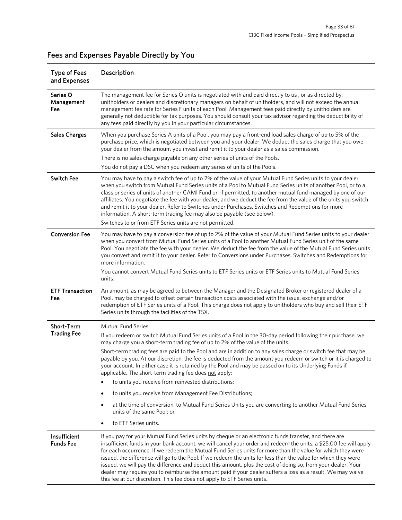| <b>Type of Fees</b><br>and Expenses | Description                                                                                                                                                                                                                                                                                                                                                                                                                                                                                                                                                                                                                                                                                                                                                           |
|-------------------------------------|-----------------------------------------------------------------------------------------------------------------------------------------------------------------------------------------------------------------------------------------------------------------------------------------------------------------------------------------------------------------------------------------------------------------------------------------------------------------------------------------------------------------------------------------------------------------------------------------------------------------------------------------------------------------------------------------------------------------------------------------------------------------------|
| Series O<br>Management<br>Fee       | The management fee for Series O units is negotiated with and paid directly to us, or as directed by,<br>unitholders or dealers and discretionary managers on behalf of unitholders, and will not exceed the annual<br>management fee rate for Series F units of each Pool. Management fees paid directly by unitholders are<br>generally not deductible for tax purposes. You should consult your tax advisor regarding the deductibility of<br>any fees paid directly by you in your particular circumstances.                                                                                                                                                                                                                                                       |
| <b>Sales Charges</b>                | When you purchase Series A units of a Pool, you may pay a front-end load sales charge of up to 5% of the<br>purchase price, which is negotiated between you and your dealer. We deduct the sales charge that you owe<br>your dealer from the amount you invest and remit it to your dealer as a sales commission.                                                                                                                                                                                                                                                                                                                                                                                                                                                     |
|                                     | There is no sales charge payable on any other series of units of the Pools.                                                                                                                                                                                                                                                                                                                                                                                                                                                                                                                                                                                                                                                                                           |
|                                     | You do not pay a DSC when you redeem any series of units of the Pools.                                                                                                                                                                                                                                                                                                                                                                                                                                                                                                                                                                                                                                                                                                |
| <b>Switch Fee</b>                   | You may have to pay a switch fee of up to 2% of the value of your Mutual Fund Series units to your dealer<br>when you switch from Mutual Fund Series units of a Pool to Mutual Fund Series units of another Pool, or to a<br>class or series of units of another CAMI Fund or, if permitted, to another mutual fund managed by one of our<br>affiliates. You negotiate the fee with your dealer, and we deduct the fee from the value of the units you switch<br>and remit it to your dealer. Refer to Switches under Purchases, Switches and Redemptions for more<br>information. A short-term trading fee may also be payable (see below).<br>Switches to or from ETF Series units are not permitted.                                                               |
|                                     |                                                                                                                                                                                                                                                                                                                                                                                                                                                                                                                                                                                                                                                                                                                                                                       |
| <b>Conversion Fee</b>               | You may have to pay a conversion fee of up to 2% of the value of your Mutual Fund Series units to your dealer<br>when you convert from Mutual Fund Series units of a Pool to another Mutual Fund Series unit of the same<br>Pool. You negotiate the fee with your dealer. We deduct the fee from the value of the Mutual Fund Series units<br>you convert and remit it to your dealer. Refer to Conversions under Purchases, Switches and Redemptions for<br>more information.                                                                                                                                                                                                                                                                                        |
|                                     | You cannot convert Mutual Fund Series units to ETF Series units or ETF Series units to Mutual Fund Series<br>units.                                                                                                                                                                                                                                                                                                                                                                                                                                                                                                                                                                                                                                                   |
| <b>ETF Transaction</b><br>Fee       | An amount, as may be agreed to between the Manager and the Designated Broker or registered dealer of a<br>Pool, may be charged to offset certain transaction costs associated with the issue, exchange and/or<br>redemption of ETF Series units of a Pool. This charge does not apply to unitholders who buy and sell their ETF<br>Series units through the facilities of the TSX.                                                                                                                                                                                                                                                                                                                                                                                    |
| Short-Term                          | <b>Mutual Fund Series</b>                                                                                                                                                                                                                                                                                                                                                                                                                                                                                                                                                                                                                                                                                                                                             |
| <b>Trading Fee</b>                  | If you redeem or switch Mutual Fund Series units of a Pool in the 30-day period following their purchase, we<br>may charge you a short-term trading fee of up to 2% of the value of the units.                                                                                                                                                                                                                                                                                                                                                                                                                                                                                                                                                                        |
|                                     | Short-term trading fees are paid to the Pool and are in addition to any sales charge or switch fee that may be<br>payable by you. At our discretion, the fee is deducted from the amount you redeem or switch or it is charged to<br>your account. In either case it is retained by the Pool and may be passed on to its Underlying Funds if<br>applicable. The short-term trading fee does not apply:                                                                                                                                                                                                                                                                                                                                                                |
|                                     | to units you receive from reinvested distributions;                                                                                                                                                                                                                                                                                                                                                                                                                                                                                                                                                                                                                                                                                                                   |
|                                     | to units you receive from Management Fee Distributions;<br>٠                                                                                                                                                                                                                                                                                                                                                                                                                                                                                                                                                                                                                                                                                                          |
|                                     | at the time of conversion, to Mutual Fund Series Units you are converting to another Mutual Fund Series<br>٠<br>units of the same Pool; or                                                                                                                                                                                                                                                                                                                                                                                                                                                                                                                                                                                                                            |
|                                     | to ETF Series units.<br>$\bullet$                                                                                                                                                                                                                                                                                                                                                                                                                                                                                                                                                                                                                                                                                                                                     |
| Insufficient<br><b>Funds Fee</b>    | If you pay for your Mutual Fund Series units by cheque or an electronic funds transfer, and there are<br>insufficient funds in your bank account, we will cancel your order and redeem the units; a \$25.00 fee will apply<br>for each occurrence. If we redeem the Mutual Fund Series units for more than the value for which they were<br>issued, the difference will go to the Pool. If we redeem the units for less than the value for which they were<br>issued, we will pay the difference and deduct this amount, plus the cost of doing so, from your dealer. Your<br>dealer may require you to reimburse the amount paid if your dealer suffers a loss as a result. We may waive<br>this fee at our discretion. This fee does not apply to ETF Series units. |

# Fees and Expenses Payable Directly by You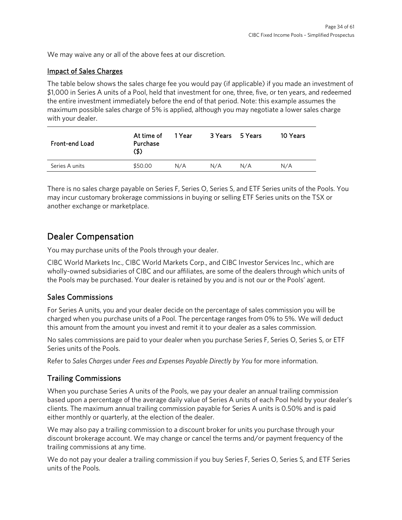We may waive any or all of the above fees at our discretion.

### Impact of Sales Charges

The table below shows the sales charge fee you would pay (if applicable) if you made an investment of \$1,000 in Series A units of a Pool, held that investment for one, three, five, or ten years, and redeemed the entire investment immediately before the end of that period. Note: this example assumes the maximum possible sales charge of 5% is applied, although you may negotiate a lower sales charge with your dealer.

| <b>Front-end Load</b> | At time of<br>Purchase<br>(\$) | 1 Year | 3 Years 5 Years |     | 10 Years |
|-----------------------|--------------------------------|--------|-----------------|-----|----------|
| Series A units        | \$50.00                        | N/A    | N/A             | N/A | N/A      |

There is no sales charge payable on Series F, Series O, Series S, and ETF Series units of the Pools. You may incur customary brokerage commissions in buying or selling ETF Series units on the TSX or another exchange or marketplace.

# <span id="page-33-0"></span>Dealer Compensation

You may purchase units of the Pools through your dealer.

CIBC World Markets Inc., CIBC World Markets Corp., and CIBC Investor Services Inc., which are wholly-owned subsidiaries of CIBC and our affiliates, are some of the dealers through which units of the Pools may be purchased. Your dealer is retained by you and is not our or the Pools' agent.

# Sales Commissions

For Series A units, you and your dealer decide on the percentage of sales commission you will be charged when you purchase units of a Pool. The percentage ranges from 0% to 5%. We will deduct this amount from the amount you invest and remit it to your dealer as a sales commission.

No sales commissions are paid to your dealer when you purchase Series F, Series O, Series S, or ETF Series units of the Pools.

Refer to *Sales Charges* under *Fees and Expenses Payable Directly by You* for more information.

# Trailing Commissions

When you purchase Series A units of the Pools, we pay your dealer an annual trailing commission based upon a percentage of the average daily value of Series A units of each Pool held by your dealer's clients. The maximum annual trailing commission payable for Series A units is 0.50% and is paid either monthly or quarterly, at the election of the dealer.

We may also pay a trailing commission to a discount broker for units you purchase through your discount brokerage account. We may change or cancel the terms and/or payment frequency of the trailing commissions at any time.

We do not pay your dealer a trailing commission if you buy Series F, Series O, Series S, and ETF Series units of the Pools.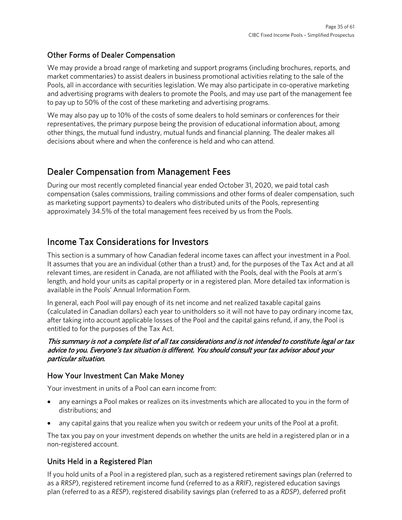## Other Forms of Dealer Compensation

We may provide a broad range of marketing and support programs (including brochures, reports, and market commentaries) to assist dealers in business promotional activities relating to the sale of the Pools, all in accordance with securities legislation. We may also participate in co-operative marketing and advertising programs with dealers to promote the Pools, and may use part of the management fee to pay up to 50% of the cost of these marketing and advertising programs.

We may also pay up to 10% of the costs of some dealers to hold seminars or conferences for their representatives, the primary purpose being the provision of educational information about, among other things, the mutual fund industry, mutual funds and financial planning. The dealer makes all decisions about where and when the conference is held and who can attend.

# <span id="page-34-0"></span>Dealer Compensation from Management Fees

During our most recently completed financial year ended October 31, 2020, we paid total cash compensation (sales commissions, trailing commissions and other forms of dealer compensation, such as marketing support payments) to dealers who distributed units of the Pools, representing approximately 34.5% of the total management fees received by us from the Pools.

# <span id="page-34-1"></span>Income Tax Considerations for Investors

This section is a summary of how Canadian federal income taxes can affect your investment in a Pool. It assumes that you are an individual (other than a trust) and, for the purposes of the Tax Act and at all relevant times, are resident in Canada, are not affiliated with the Pools, deal with the Pools at arm's length, and hold your units as capital property or in a registered plan. More detailed tax information is available in the Pools' Annual Information Form.

In general, each Pool will pay enough of its net income and net realized taxable capital gains (calculated in Canadian dollars) each year to unitholders so it will not have to pay ordinary income tax, after taking into account applicable losses of the Pool and the capital gains refund, if any, the Pool is entitled to for the purposes of the Tax Act.

### This summary is not a complete list of all tax considerations and is not intended to constitute legal or tax advice to you. Everyone's tax situation is different. You should consult your tax advisor about your particular situation.

### How Your Investment Can Make Money

Your investment in units of a Pool can earn income from:

- any earnings a Pool makes or realizes on its investments which are allocated to you in the form of distributions; and
- any capital gains that you realize when you switch or redeem your units of the Pool at a profit.

The tax you pay on your investment depends on whether the units are held in a registered plan or in a non-registered account.

# Units Held in a Registered Plan

If you hold units of a Pool in a registered plan, such as a registered retirement savings plan (referred to as a *RRSP*), registered retirement income fund (referred to as a *RRIF*), registered education savings plan (referred to as a *RESP*), registered disability savings plan (referred to as a *RDSP*), deferred profit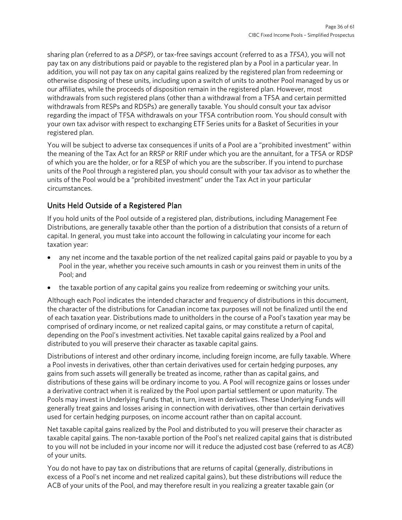sharing plan (referred to as a *DPSP*), or tax-free savings account (referred to as a *TFSA*), you will not pay tax on any distributions paid or payable to the registered plan by a Pool in a particular year. In addition, you will not pay tax on any capital gains realized by the registered plan from redeeming or otherwise disposing of these units, including upon a switch of units to another Pool managed by us or our affiliates, while the proceeds of disposition remain in the registered plan. However, most withdrawals from such registered plans (other than a withdrawal from a TFSA and certain permitted withdrawals from RESPs and RDSPs) are generally taxable. You should consult your tax advisor regarding the impact of TFSA withdrawals on your TFSA contribution room. You should consult with your own tax advisor with respect to exchanging ETF Series units for a Basket of Securities in your registered plan.

You will be subject to adverse tax consequences if units of a Pool are a "prohibited investment" within the meaning of the Tax Act for an RRSP or RRIF under which you are the annuitant, for a TFSA or RDSP of which you are the holder, or for a RESP of which you are the subscriber. If you intend to purchase units of the Pool through a registered plan, you should consult with your tax advisor as to whether the units of the Pool would be a "prohibited investment" under the Tax Act in your particular circumstances.

# Units Held Outside of a Registered Plan

If you hold units of the Pool outside of a registered plan, distributions, including Management Fee Distributions, are generally taxable other than the portion of a distribution that consists of a return of capital. In general, you must take into account the following in calculating your income for each taxation year:

- any net income and the taxable portion of the net realized capital gains paid or payable to you by a Pool in the year, whether you receive such amounts in cash or you reinvest them in units of the Pool; and
- the taxable portion of any capital gains you realize from redeeming or switching your units.

Although each Pool indicates the intended character and frequency of distributions in this document, the character of the distributions for Canadian income tax purposes will not be finalized until the end of each taxation year. Distributions made to unitholders in the course of a Pool's taxation year may be comprised of ordinary income, or net realized capital gains, or may constitute a return of capital, depending on the Pool's investment activities. Net taxable capital gains realized by a Pool and distributed to you will preserve their character as taxable capital gains.

Distributions of interest and other ordinary income, including foreign income, are fully taxable. Where a Pool invests in derivatives, other than certain derivatives used for certain hedging purposes, any gains from such assets will generally be treated as income, rather than as capital gains, and distributions of these gains will be ordinary income to you. A Pool will recognize gains or losses under a derivative contract when it is realized by the Pool upon partial settlement or upon maturity. The Pools may invest in Underlying Funds that, in turn, invest in derivatives. These Underlying Funds will generally treat gains and losses arising in connection with derivatives, other than certain derivatives used for certain hedging purposes, on income account rather than on capital account.

Net taxable capital gains realized by the Pool and distributed to you will preserve their character as taxable capital gains. The non-taxable portion of the Pool's net realized capital gains that is distributed to you will not be included in your income nor will it reduce the adjusted cost base (referred to as *ACB*) of your units.

You do not have to pay tax on distributions that are returns of capital (generally, distributions in excess of a Pool's net income and net realized capital gains), but these distributions will reduce the ACB of your units of the Pool, and may therefore result in you realizing a greater taxable gain (or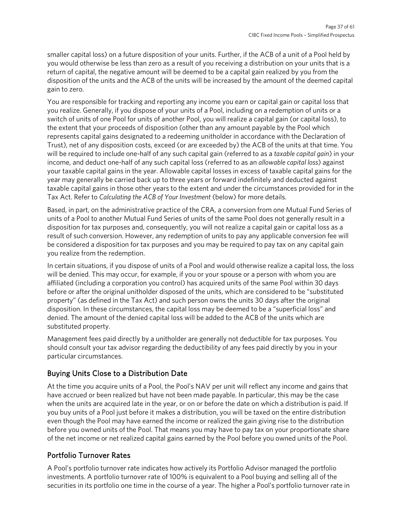smaller capital loss) on a future disposition of your units. Further, if the ACB of a unit of a Pool held by you would otherwise be less than zero as a result of you receiving a distribution on your units that is a return of capital, the negative amount will be deemed to be a capital gain realized by you from the disposition of the units and the ACB of the units will be increased by the amount of the deemed capital gain to zero.

You are responsible for tracking and reporting any income you earn or capital gain or capital loss that you realize. Generally, if you dispose of your units of a Pool, including on a redemption of units or a switch of units of one Pool for units of another Pool, you will realize a capital gain (or capital loss), to the extent that your proceeds of disposition (other than any amount payable by the Pool which represents capital gains designated to a redeeming unitholder in accordance with the Declaration of Trust), net of any disposition costs, exceed (or are exceeded by) the ACB of the units at that time. You will be required to include one-half of any such capital gain (referred to as a *taxable capital gain*) in your income, and deduct one-half of any such capital loss (referred to as an *allowable capital loss*) against your taxable capital gains in the year. Allowable capital losses in excess of taxable capital gains for the year may generally be carried back up to three years or forward indefinitely and deducted against taxable capital gains in those other years to the extent and under the circumstances provided for in the Tax Act. Refer to *Calculating the ACB of Your Investment* (below) for more details.

Based, in part, on the administrative practice of the CRA, a conversion from one Mutual Fund Series of units of a Pool to another Mutual Fund Series of units of the same Pool does not generally result in a disposition for tax purposes and, consequently, you will not realize a capital gain or capital loss as a result of such conversion. However, any redemption of units to pay any applicable conversion fee will be considered a disposition for tax purposes and you may be required to pay tax on any capital gain you realize from the redemption.

In certain situations, if you dispose of units of a Pool and would otherwise realize a capital loss, the loss will be denied. This may occur, for example, if you or your spouse or a person with whom you are affiliated (including a corporation you control) has acquired units of the same Pool within 30 days before or after the original unitholder disposed of the units, which are considered to be "substituted property" (as defined in the Tax Act) and such person owns the units 30 days after the original disposition. In these circumstances, the capital loss may be deemed to be a "superficial loss" and denied. The amount of the denied capital loss will be added to the ACB of the units which are substituted property.

Management fees paid directly by a unitholder are generally not deductible for tax purposes. You should consult your tax advisor regarding the deductibility of any fees paid directly by you in your particular circumstances.

# Buying Units Close to a Distribution Date

At the time you acquire units of a Pool, the Pool's NAV per unit will reflect any income and gains that have accrued or been realized but have not been made payable. In particular, this may be the case when the units are acquired late in the year, or on or before the date on which a distribution is paid. If you buy units of a Pool just before it makes a distribution, you will be taxed on the entire distribution even though the Pool may have earned the income or realized the gain giving rise to the distribution before you owned units of the Pool. That means you may have to pay tax on your proportionate share of the net income or net realized capital gains earned by the Pool before you owned units of the Pool.

# Portfolio Turnover Rates

A Pool's portfolio turnover rate indicates how actively its Portfolio Advisor managed the portfolio investments. A portfolio turnover rate of 100% is equivalent to a Pool buying and selling all of the securities in its portfolio one time in the course of a year. The higher a Pool's portfolio turnover rate in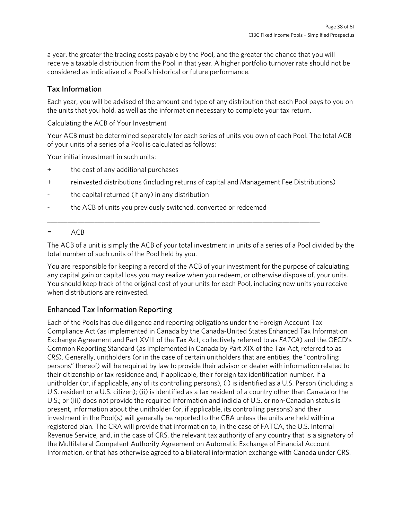a year, the greater the trading costs payable by the Pool, and the greater the chance that you will receive a taxable distribution from the Pool in that year. A higher portfolio turnover rate should not be considered as indicative of a Pool's historical or future performance.

## Tax Information

Each year, you will be advised of the amount and type of any distribution that each Pool pays to you on the units that you hold, as well as the information necessary to complete your tax return.

Calculating the ACB of Your Investment

Your ACB must be determined separately for each series of units you own of each Pool. The total ACB of your units of a series of a Pool is calculated as follows:

Your initial investment in such units:

- + the cost of any additional purchases
- + reinvested distributions (including returns of capital and Management Fee Distributions)

\_\_\_\_\_\_\_\_\_\_\_\_\_\_\_\_\_\_\_\_\_\_\_\_\_\_\_\_\_\_\_\_\_\_\_\_\_\_\_\_\_\_\_\_\_\_\_\_\_\_\_\_\_\_\_\_\_\_\_\_\_\_\_\_\_\_\_\_\_\_\_\_\_\_\_\_\_\_\_\_\_

- the capital returned (if any) in any distribution
- the ACB of units you previously switched, converted or redeemed

### $=$   $ACB$

The ACB of a unit is simply the ACB of your total investment in units of a series of a Pool divided by the total number of such units of the Pool held by you.

You are responsible for keeping a record of the ACB of your investment for the purpose of calculating any capital gain or capital loss you may realize when you redeem, or otherwise dispose of, your units. You should keep track of the original cost of your units for each Pool, including new units you receive when distributions are reinvested.

# Enhanced Tax Information Reporting

Each of the Pools has due diligence and reporting obligations under the Foreign Account Tax Compliance Act (as implemented in Canada by the Canada-United States Enhanced Tax Information Exchange Agreement and Part XVIII of the Tax Act, collectively referred to as *FATCA*) and the OECD's Common Reporting Standard (as implemented in Canada by Part XIX of the Tax Act, referred to as *CRS*). Generally, unitholders (or in the case of certain unitholders that are entities, the "controlling persons" thereof) will be required by law to provide their advisor or dealer with information related to their citizenship or tax residence and, if applicable, their foreign tax identification number. If a unitholder (or, if applicable, any of its controlling persons), (i) is identified as a U.S. Person (including a U.S. resident or a U.S. citizen); (ii) is identified as a tax resident of a country other than Canada or the U.S.; or (iii) does not provide the required information and indicia of U.S. or non-Canadian status is present, information about the unitholder (or, if applicable, its controlling persons) and their investment in the Pool(s) will generally be reported to the CRA unless the units are held within a registered plan. The CRA will provide that information to, in the case of FATCA, the U.S. Internal Revenue Service, and, in the case of CRS, the relevant tax authority of any country that is a signatory of the Multilateral Competent Authority Agreement on Automatic Exchange of Financial Account Information, or that has otherwise agreed to a bilateral information exchange with Canada under CRS.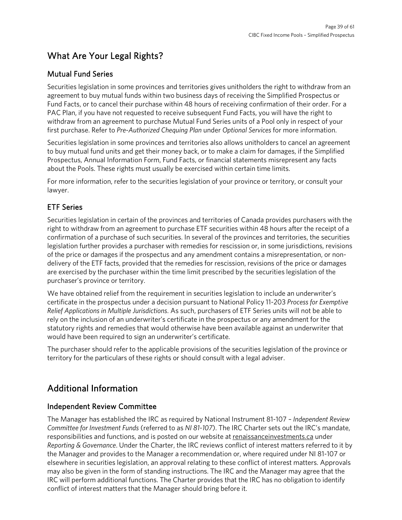# <span id="page-38-0"></span>What Are Your Legal Rights?

# Mutual Fund Series

Securities legislation in some provinces and territories gives unitholders the right to withdraw from an agreement to buy mutual funds within two business days of receiving the Simplified Prospectus or Fund Facts, or to cancel their purchase within 48 hours of receiving confirmation of their order. For a PAC Plan, if you have not requested to receive subsequent Fund Facts, you will have the right to withdraw from an agreement to purchase Mutual Fund Series units of a Pool only in respect of your first purchase. Refer to *Pre-Authorized Chequing Plan* under *Optional Services* for more information.

Securities legislation in some provinces and territories also allows unitholders to cancel an agreement to buy mutual fund units and get their money back, or to make a claim for damages, if the Simplified Prospectus, Annual Information Form, Fund Facts, or financial statements misrepresent any facts about the Pools. These rights must usually be exercised within certain time limits.

For more information, refer to the securities legislation of your province or territory, or consult your lawyer.

# ETF Series

Securities legislation in certain of the provinces and territories of Canada provides purchasers with the right to withdraw from an agreement to purchase ETF securities within 48 hours after the receipt of a confirmation of a purchase of such securities. In several of the provinces and territories, the securities legislation further provides a purchaser with remedies for rescission or, in some jurisdictions, revisions of the price or damages if the prospectus and any amendment contains a misrepresentation, or nondelivery of the ETF facts, provided that the remedies for rescission, revisions of the price or damages are exercised by the purchaser within the time limit prescribed by the securities legislation of the purchaser's province or territory.

We have obtained relief from the requirement in securities legislation to include an underwriter's certificate in the prospectus under a decision pursuant to National Policy 11-203 *Process for Exemptive Relief Applications in Multiple Jurisdictions*. As such, purchasers of ETF Series units will not be able to rely on the inclusion of an underwriter's certificate in the prospectus or any amendment for the statutory rights and remedies that would otherwise have been available against an underwriter that would have been required to sign an underwriter's certificate.

The purchaser should refer to the applicable provisions of the securities legislation of the province or territory for the particulars of these rights or should consult with a legal adviser.

# <span id="page-38-1"></span>Additional Information

# Independent Review Committee

The Manager has established the IRC as required by National Instrument 81-107 *– Independent Review Committee for Investment Funds* (referred to as *NI 81-107*). The IRC Charter sets out the IRC's mandate, responsibilities and functions, and is posted on our website a[t renaissanceinvestments.ca](https://www.renaissanceinvestments.ca/) under *Reporting & Governance*. Under the Charter, the IRC reviews conflict of interest matters referred to it by the Manager and provides to the Manager a recommendation or, where required under NI 81-107 or elsewhere in securities legislation, an approval relating to these conflict of interest matters. Approvals may also be given in the form of standing instructions. The IRC and the Manager may agree that the IRC will perform additional functions. The Charter provides that the IRC has no obligation to identify conflict of interest matters that the Manager should bring before it.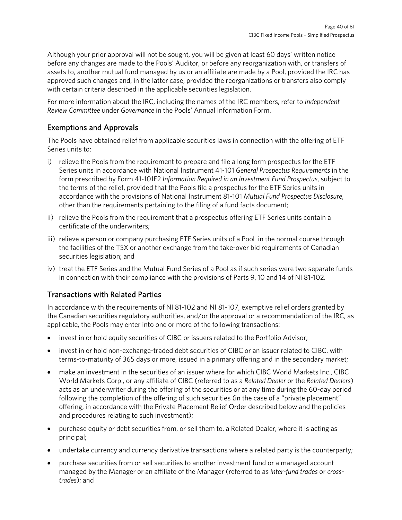Although your prior approval will not be sought, you will be given at least 60 days' written notice before any changes are made to the Pools' Auditor, or before any reorganization with, or transfers of assets to, another mutual fund managed by us or an affiliate are made by a Pool, provided the IRC has approved such changes and, in the latter case, provided the reorganizations or transfers also comply with certain criteria described in the applicable securities legislation.

For more information about the IRC, including the names of the IRC members, refer to *Independent Review Committee* under *Governance* in the Pools' Annual Information Form.

# Exemptions and Approvals

The Pools have obtained relief from applicable securities laws in connection with the offering of ETF Series units to:

- i) relieve the Pools from the requirement to prepare and file a long form prospectus for the ETF Series units in accordance with National Instrument 41-101 *General Prospectus Requirements* in the form prescribed by Form 41-101F2 *Information Required in an Investment Fund Prospectus*, subject to the terms of the relief, provided that the Pools file a prospectus for the ETF Series units in accordance with the provisions of National Instrument 81-101 *Mutual Fund Prospectus Disclosure*, other than the requirements pertaining to the filing of a fund facts document;
- ii) relieve the Pools from the requirement that a prospectus offering ETF Series units contain a certificate of the underwriters;
- iii) relieve a person or company purchasing ETF Series units of a Pool in the normal course through the facilities of the TSX or another exchange from the take-over bid requirements of Canadian securities legislation; and
- iv) treat the ETF Series and the Mutual Fund Series of a Pool as if such series were two separate funds in connection with their compliance with the provisions of Parts 9, 10 and 14 of NI 81-102.

# Transactions with Related Parties

In accordance with the requirements of NI 81-102 and NI 81-107, exemptive relief orders granted by the Canadian securities regulatory authorities, and/or the approval or a recommendation of the IRC, as applicable, the Pools may enter into one or more of the following transactions:

- invest in or hold equity securities of CIBC or issuers related to the Portfolio Advisor;
- invest in or hold non-exchange-traded debt securities of CIBC or an issuer related to CIBC, with terms-to-maturity of 365 days or more, issued in a primary offering and in the secondary market;
- make an investment in the securities of an issuer where for which CIBC World Markets Inc., CIBC World Markets Corp., or any affiliate of CIBC (referred to as a *Related Dealer* or the *Related Dealers*) acts as an underwriter during the offering of the securities or at any time during the 60-day period following the completion of the offering of such securities (in the case of a "private placement" offering, in accordance with the Private Placement Relief Order described below and the policies and procedures relating to such investment);
- purchase equity or debt securities from, or sell them to, a Related Dealer, where it is acting as principal;
- undertake currency and currency derivative transactions where a related party is the counterparty;
- purchase securities from or sell securities to another investment fund or a managed account managed by the Manager or an affiliate of the Manager (referred to as *inter-fund trades* or *crosstrades*); and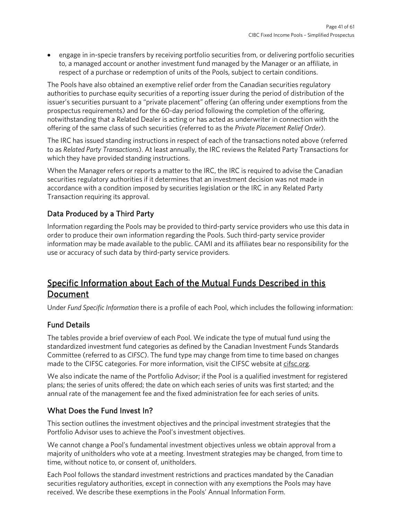• engage in in-specie transfers by receiving portfolio securities from, or delivering portfolio securities to, a managed account or another investment fund managed by the Manager or an affiliate, in respect of a purchase or redemption of units of the Pools, subject to certain conditions.

The Pools have also obtained an exemptive relief order from the Canadian securities regulatory authorities to purchase equity securities of a reporting issuer during the period of distribution of the issuer's securities pursuant to a "private placement" offering (an offering under exemptions from the prospectus requirements) and for the 60-day period following the completion of the offering, notwithstanding that a Related Dealer is acting or has acted as underwriter in connection with the offering of the same class of such securities (referred to as the *Private Placement Relief Order*).

The IRC has issued standing instructions in respect of each of the transactions noted above (referred to as *Related Party Transactions*). At least annually, the IRC reviews the Related Party Transactions for which they have provided standing instructions.

When the Manager refers or reports a matter to the IRC, the IRC is required to advise the Canadian securities regulatory authorities if it determines that an investment decision was not made in accordance with a condition imposed by securities legislation or the IRC in any Related Party Transaction requiring its approval.

# Data Produced by a Third Party

Information regarding the Pools may be provided to third-party service providers who use this data in order to produce their own information regarding the Pools. Such third-party service provider information may be made available to the public. CAMI and its affiliates bear no responsibility for the use or accuracy of such data by third-party service providers.

# <span id="page-40-0"></span>Specific Information about Each of the Mutual Funds Described in this Document

Under *Fund Specific Information* there is a profile of each Pool, which includes the following information:

# Fund Details

The tables provide a brief overview of each Pool. We indicate the type of mutual fund using the standardized investment fund categories as defined by the Canadian Investment Funds Standards Committee (referred to as *CIFSC*). The fund type may change from time to time based on changes made to the CIFSC categories. For more information, visit the CIFSC website at [cifsc.org.](https://www.cifsc.org/)

We also indicate the name of the Portfolio Advisor; if the Pool is a qualified investment for registered plans; the series of units offered; the date on which each series of units was first started; and the annual rate of the management fee and the fixed administration fee for each series of units.

# What Does the Fund Invest In?

This section outlines the investment objectives and the principal investment strategies that the Portfolio Advisor uses to achieve the Pool's investment objectives.

We cannot change a Pool's fundamental investment objectives unless we obtain approval from a majority of unitholders who vote at a meeting. Investment strategies may be changed, from time to time, without notice to, or consent of, unitholders.

Each Pool follows the standard investment restrictions and practices mandated by the Canadian securities regulatory authorities, except in connection with any exemptions the Pools may have received. We describe these exemptions in the Pools' Annual Information Form.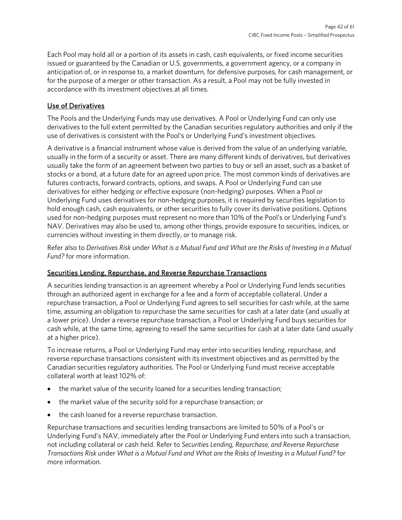Each Pool may hold all or a portion of its assets in cash, cash equivalents, or fixed income securities issued or guaranteed by the Canadian or U.S. governments, a government agency, or a company in anticipation of, or in response to, a market downturn, for defensive purposes, for cash management, or for the purpose of a merger or other transaction. As a result, a Pool may not be fully invested in accordance with its investment objectives at all times.

### Use of Derivatives

The Pools and the Underlying Funds may use derivatives. A Pool or Underlying Fund can only use derivatives to the full extent permitted by the Canadian securities regulatory authorities and only if the use of derivatives is consistent with the Pool's or Underlying Fund's investment objectives.

A derivative is a financial instrument whose value is derived from the value of an underlying variable, usually in the form of a security or asset. There are many different kinds of derivatives, but derivatives usually take the form of an agreement between two parties to buy or sell an asset, such as a basket of stocks or a bond, at a future date for an agreed upon price. The most common kinds of derivatives are futures contracts, forward contracts, options, and swaps. A Pool or Underlying Fund can use derivatives for either hedging or effective exposure (non-hedging) purposes. When a Pool or Underlying Fund uses derivatives for non-hedging purposes, it is required by securities legislation to hold enough cash, cash equivalents, or other securities to fully cover its derivative positions. Options used for non-hedging purposes must represent no more than 10% of the Pool's or Underlying Fund's NAV. Derivatives may also be used to, among other things, provide exposure to securities, indices, or currencies without investing in them directly, or to manage risk.

Refer also to *Derivatives Risk* under *What is a Mutual Fund and What are the Risks of Investing in a Mutual Fund?* for more information.

### Securities Lending, Repurchase, and Reverse Repurchase Transactions

A securities lending transaction is an agreement whereby a Pool or Underlying Fund lends securities through an authorized agent in exchange for a fee and a form of acceptable collateral. Under a repurchase transaction, a Pool or Underlying Fund agrees to sell securities for cash while, at the same time, assuming an obligation to repurchase the same securities for cash at a later date (and usually at a lower price). Under a reverse repurchase transaction, a Pool or Underlying Fund buys securities for cash while, at the same time, agreeing to resell the same securities for cash at a later date (and usually at a higher price).

To increase returns, a Pool or Underlying Fund may enter into securities lending, repurchase, and reverse repurchase transactions consistent with its investment objectives and as permitted by the Canadian securities regulatory authorities. The Pool or Underlying Fund must receive acceptable collateral worth at least 102% of:

- the market value of the security loaned for a securities lending transaction;
- the market value of the security sold for a repurchase transaction; or
- the cash loaned for a reverse repurchase transaction.

Repurchase transactions and securities lending transactions are limited to 50% of a Pool's or Underlying Fund's NAV, immediately after the Pool or Underlying Fund enters into such a transaction, not including collateral or cash held. Refer to *Securities Lending, Repurchase, and Reverse Repurchase Transactions Risk* under *What is a Mutual Fund and What are the Risks of Investing in a Mutual Fund?* for more information.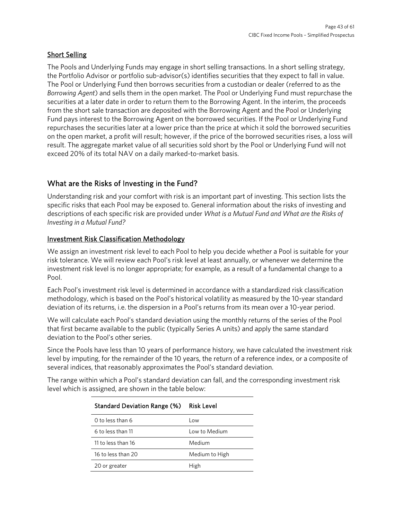### Short Selling

The Pools and Underlying Funds may engage in short selling transactions. In a short selling strategy, the Portfolio Advisor or portfolio sub-advisor(s) identifies securities that they expect to fall in value. The Pool or Underlying Fund then borrows securities from a custodian or dealer (referred to as the *Borrowing Agent*) and sells them in the open market. The Pool or Underlying Fund must repurchase the securities at a later date in order to return them to the Borrowing Agent. In the interim, the proceeds from the short sale transaction are deposited with the Borrowing Agent and the Pool or Underlying Fund pays interest to the Borrowing Agent on the borrowed securities. If the Pool or Underlying Fund repurchases the securities later at a lower price than the price at which it sold the borrowed securities on the open market, a profit will result; however, if the price of the borrowed securities rises, a loss will result. The aggregate market value of all securities sold short by the Pool or Underlying Fund will not exceed 20% of its total NAV on a daily marked-to-market basis.

# What are the Risks of Investing in the Fund?

Understanding risk and your comfort with risk is an important part of investing. This section lists the specific risks that each Pool may be exposed to. General information about the risks of investing and descriptions of each specific risk are provided under *What is a Mutual Fund and What are the Risks of Investing in a Mutual Fund?* 

### Investment Risk Classification Methodology

We assign an investment risk level to each Pool to help you decide whether a Pool is suitable for your risk tolerance. We will review each Pool's risk level at least annually, or whenever we determine the investment risk level is no longer appropriate; for example, as a result of a fundamental change to a Pool.

Each Pool's investment risk level is determined in accordance with a standardized risk classification methodology, which is based on the Pool's historical volatility as measured by the 10-year standard deviation of its returns, i.e. the dispersion in a Pool's returns from its mean over a 10-year period.

We will calculate each Pool's standard deviation using the monthly returns of the series of the Pool that first became available to the public (typically Series A units) and apply the same standard deviation to the Pool's other series.

Since the Pools have less than 10 years of performance history, we have calculated the investment risk level by imputing, for the remainder of the 10 years, the return of a reference index, or a composite of several indices, that reasonably approximates the Pool's standard deviation.

The range within which a Pool's standard deviation can fall, and the corresponding investment risk level which is assigned, are shown in the table below:

| Standard Deviation Range (%) | Risk Level     |
|------------------------------|----------------|
| 0 to less than 6             | l ow           |
| 6 to less than 11            | Low to Medium  |
| 11 to less than 16           | Medium         |
| 16 to less than 20           | Medium to High |
| 20 or greater                | High           |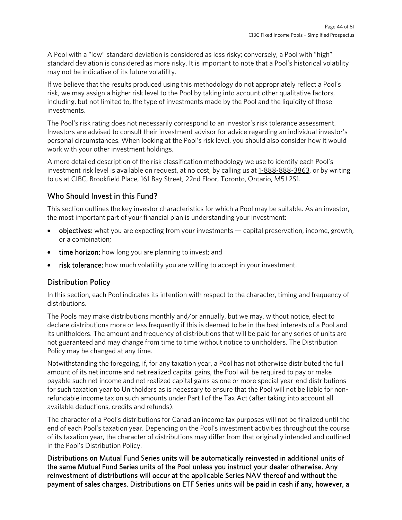A Pool with a "low" standard deviation is considered as less risky; conversely, a Pool with "high" standard deviation is considered as more risky. It is important to note that a Pool's historical volatility may not be indicative of its future volatility.

If we believe that the results produced using this methodology do not appropriately reflect a Pool's risk, we may assign a higher risk level to the Pool by taking into account other qualitative factors, including, but not limited to, the type of investments made by the Pool and the liquidity of those investments.

The Pool's risk rating does not necessarily correspond to an investor's risk tolerance assessment. Investors are advised to consult their investment advisor for advice regarding an individual investor's personal circumstances. When looking at the Pool's risk level, you should also consider how it would work with your other investment holdings.

A more detailed description of the risk classification methodology we use to identify each Pool's investment risk level is available on request, at no cost, by calling us at [1-888-888-3863,](tel:18888883863) or by writing to us at CIBC, Brookfield Place, 161 Bay Street, 22nd Floor, Toronto, Ontario, M5J 2S1.

# Who Should Invest in this Fund?

This section outlines the key investor characteristics for which a Pool may be suitable. As an investor, the most important part of your financial plan is understanding your investment:

- objectives: what you are expecting from your investments capital preservation, income, growth, or a combination;
- time horizon: how long you are planning to invest; and
- risk tolerance: how much volatility you are willing to accept in your investment.

# Distribution Policy

In this section, each Pool indicates its intention with respect to the character, timing and frequency of distributions.

The Pools may make distributions monthly and/or annually, but we may, without notice, elect to declare distributions more or less frequently if this is deemed to be in the best interests of a Pool and its unitholders. The amount and frequency of distributions that will be paid for any series of units are not guaranteed and may change from time to time without notice to unitholders. The Distribution Policy may be changed at any time.

Notwithstanding the foregoing, if, for any taxation year, a Pool has not otherwise distributed the full amount of its net income and net realized capital gains, the Pool will be required to pay or make payable such net income and net realized capital gains as one or more special year-end distributions for such taxation year to Unitholders as is necessary to ensure that the Pool will not be liable for nonrefundable income tax on such amounts under Part I of the Tax Act (after taking into account all available deductions, credits and refunds).

The character of a Pool's distributions for Canadian income tax purposes will not be finalized until the end of each Pool's taxation year. Depending on the Pool's investment activities throughout the course of its taxation year, the character of distributions may differ from that originally intended and outlined in the Pool's Distribution Policy.

Distributions on Mutual Fund Series units will be automatically reinvested in additional units of the same Mutual Fund Series units of the Pool unless you instruct your dealer otherwise. Any reinvestment of distributions will occur at the applicable Series NAV thereof and without the payment of sales charges. Distributions on ETF Series units will be paid in cash if any, however, a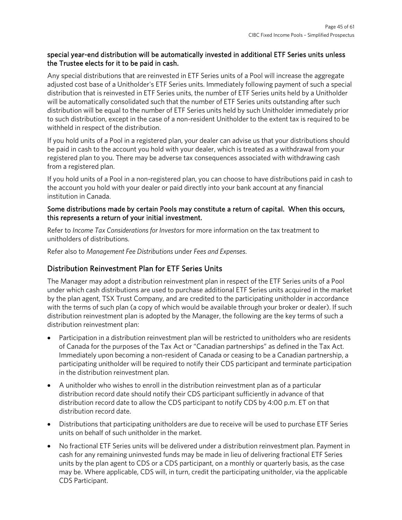### special year-end distribution will be automatically invested in additional ETF Series units unless the Trustee elects for it to be paid in cash.

Any special distributions that are reinvested in ETF Series units of a Pool will increase the aggregate adjusted cost base of a Unitholder's ETF Series units. Immediately following payment of such a special distribution that is reinvested in ETF Series units, the number of ETF Series units held by a Unitholder will be automatically consolidated such that the number of ETF Series units outstanding after such distribution will be equal to the number of ETF Series units held by such Unitholder immediately prior to such distribution, except in the case of a non-resident Unitholder to the extent tax is required to be withheld in respect of the distribution.

If you hold units of a Pool in a registered plan, your dealer can advise us that your distributions should be paid in cash to the account you hold with your dealer, which is treated as a withdrawal from your registered plan to you. There may be adverse tax consequences associated with withdrawing cash from a registered plan.

If you hold units of a Pool in a non-registered plan, you can choose to have distributions paid in cash to the account you hold with your dealer or paid directly into your bank account at any financial institution in Canada.

### Some distributions made by certain Pools may constitute a return of capital. When this occurs, this represents a return of your initial investment.

Refer to *Income Tax Considerations for Investors* for more information on the tax treatment to unitholders of distributions.

Refer also to *Management Fee Distributions* under *Fees and Expenses*.

# Distribution Reinvestment Plan for ETF Series Units

The Manager may adopt a distribution reinvestment plan in respect of the ETF Series units of a Pool under which cash distributions are used to purchase additional ETF Series units acquired in the market by the plan agent, TSX Trust Company, and are credited to the participating unitholder in accordance with the terms of such plan (a copy of which would be available through your broker or dealer). If such distribution reinvestment plan is adopted by the Manager, the following are the key terms of such a distribution reinvestment plan:

- Participation in a distribution reinvestment plan will be restricted to unitholders who are residents of Canada for the purposes of the Tax Act or "Canadian partnerships" as defined in the Tax Act. Immediately upon becoming a non-resident of Canada or ceasing to be a Canadian partnership, a participating unitholder will be required to notify their CDS participant and terminate participation in the distribution reinvestment plan.
- A unitholder who wishes to enroll in the distribution reinvestment plan as of a particular distribution record date should notify their CDS participant sufficiently in advance of that distribution record date to allow the CDS participant to notify CDS by 4:00 p.m. ET on that distribution record date.
- Distributions that participating unitholders are due to receive will be used to purchase ETF Series units on behalf of such unitholder in the market.
- No fractional ETF Series units will be delivered under a distribution reinvestment plan. Payment in cash for any remaining uninvested funds may be made in lieu of delivering fractional ETF Series units by the plan agent to CDS or a CDS participant, on a monthly or quarterly basis, as the case may be. Where applicable, CDS will, in turn, credit the participating unitholder, via the applicable CDS Participant.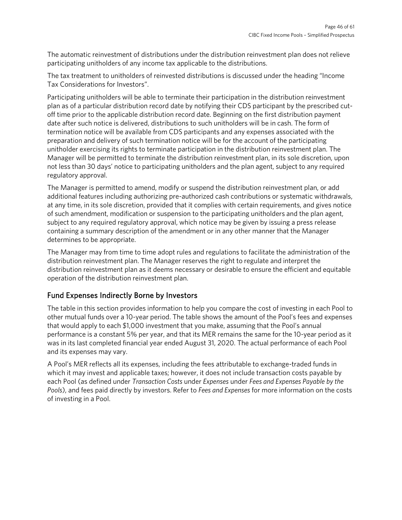The automatic reinvestment of distributions under the distribution reinvestment plan does not relieve participating unitholders of any income tax applicable to the distributions.

The tax treatment to unitholders of reinvested distributions is discussed under the heading "Income Tax Considerations for Investors".

Participating unitholders will be able to terminate their participation in the distribution reinvestment plan as of a particular distribution record date by notifying their CDS participant by the prescribed cutoff time prior to the applicable distribution record date. Beginning on the first distribution payment date after such notice is delivered, distributions to such unitholders will be in cash. The form of termination notice will be available from CDS participants and any expenses associated with the preparation and delivery of such termination notice will be for the account of the participating unitholder exercising its rights to terminate participation in the distribution reinvestment plan. The Manager will be permitted to terminate the distribution reinvestment plan, in its sole discretion, upon not less than 30 days' notice to participating unitholders and the plan agent, subject to any required regulatory approval.

The Manager is permitted to amend, modify or suspend the distribution reinvestment plan, or add additional features including authorizing pre-authorized cash contributions or systematic withdrawals, at any time, in its sole discretion, provided that it complies with certain requirements, and gives notice of such amendment, modification or suspension to the participating unitholders and the plan agent, subject to any required regulatory approval, which notice may be given by issuing a press release containing a summary description of the amendment or in any other manner that the Manager determines to be appropriate.

The Manager may from time to time adopt rules and regulations to facilitate the administration of the distribution reinvestment plan. The Manager reserves the right to regulate and interpret the distribution reinvestment plan as it deems necessary or desirable to ensure the efficient and equitable operation of the distribution reinvestment plan.

### Fund Expenses Indirectly Borne by Investors

The table in this section provides information to help you compare the cost of investing in each Pool to other mutual funds over a 10-year period. The table shows the amount of the Pool's fees and expenses that would apply to each \$1,000 investment that you make, assuming that the Pool's annual performance is a constant 5% per year, and that its MER remains the same for the 10-year period as it was in its last completed financial year ended August 31, 2020. The actual performance of each Pool and its expenses may vary.

A Pool's MER reflects all its expenses, including the fees attributable to exchange-traded funds in which it may invest and applicable taxes; however, it does not include transaction costs payable by each Pool (as defined under *Transaction Costs* under *Expenses* under *Fees and Expenses Payable by the Pools*), and fees paid directly by investors. Refer to *Fees and Expenses* for more information on the costs of investing in a Pool.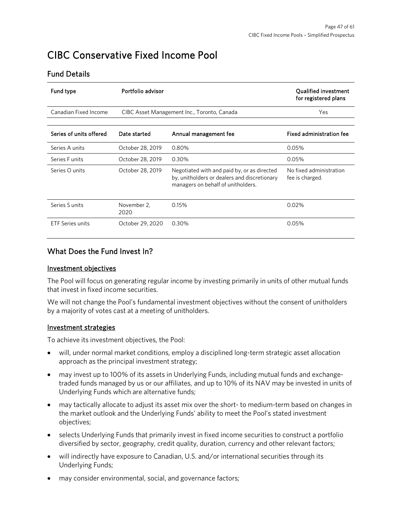# <span id="page-46-0"></span>CIBC Conservative Fixed Income Pool

### Fund Details

| <b>Fund type</b>        | Portfolio advisor   | <b>Qualified investment</b><br>for registered plans                                                                               |                                            |
|-------------------------|---------------------|-----------------------------------------------------------------------------------------------------------------------------------|--------------------------------------------|
| Canadian Fixed Income   |                     | CIBC Asset Management Inc., Toronto, Canada                                                                                       | Yes                                        |
|                         |                     |                                                                                                                                   |                                            |
| Series of units offered | Date started        | Annual management fee                                                                                                             | <b>Fixed administration fee</b>            |
| Series A units          | October 28, 2019    | 0.80%                                                                                                                             | 0.05%                                      |
| Series Funits           | October 28, 2019    | 0.30%                                                                                                                             | 0.05%                                      |
| Series O units          | October 28, 2019    | Negotiated with and paid by, or as directed<br>by, unitholders or dealers and discretionary<br>managers on behalf of unitholders. | No fixed administration<br>fee is charged. |
| Series Sunits           | November 2.<br>2020 | 0.15%                                                                                                                             | 0.02%                                      |
| <b>ETF Series units</b> | October 29, 2020    | 0.30%                                                                                                                             | 0.05%                                      |

# What Does the Fund Invest In?

### Investment objectives

The Pool will focus on generating regular income by investing primarily in units of other mutual funds that invest in fixed income securities.

We will not change the Pool's fundamental investment objectives without the consent of unitholders by a majority of votes cast at a meeting of unitholders.

### Investment strategies

To achieve its investment objectives, the Pool:

- will, under normal market conditions, employ a disciplined long-term strategic asset allocation approach as the principal investment strategy;
- may invest up to 100% of its assets in Underlying Funds, including mutual funds and exchangetraded funds managed by us or our affiliates, and up to 10% of its NAV may be invested in units of Underlying Funds which are alternative funds;
- may tactically allocate to adjust its asset mix over the short- to medium-term based on changes in the market outlook and the Underlying Funds' ability to meet the Pool's stated investment objectives;
- selects Underlying Funds that primarily invest in fixed income securities to construct a portfolio diversified by sector, geography, credit quality, duration, currency and other relevant factors;
- will indirectly have exposure to Canadian, U.S. and/or international securities through its Underlying Funds;
- may consider environmental, social, and governance factors;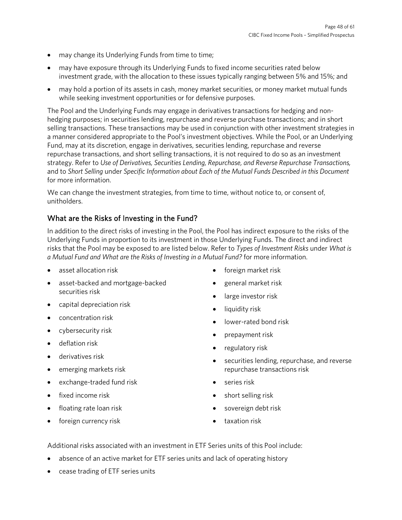- may change its Underlying Funds from time to time;
- may have exposure through its Underlying Funds to fixed income securities rated below investment grade, with the allocation to these issues typically ranging between 5% and 15%; and
- may hold a portion of its assets in cash, money market securities, or money market mutual funds while seeking investment opportunities or for defensive purposes.

The Pool and the Underlying Funds may engage in derivatives transactions for hedging and nonhedging purposes; in securities lending, repurchase and reverse purchase transactions; and in short selling transactions. These transactions may be used in conjunction with other investment strategies in a manner considered appropriate to the Pool's investment objectives. While the Pool, or an Underlying Fund, may at its discretion, engage in derivatives, securities lending, repurchase and reverse repurchase transactions, and short selling transactions, it is not required to do so as an investment strategy. Refer to *Use of Derivatives, Securities Lending, Repurchase, and Reverse Repurchase Transactions,*  and to *Short Selling* under *Specific Information about Each of the Mutual Funds Described in this Document* for more information.

We can change the investment strategies, from time to time, without notice to, or consent of, unitholders.

# What are the Risks of Investing in the Fund?

In addition to the direct risks of investing in the Pool, the Pool has indirect exposure to the risks of the Underlying Funds in proportion to its investment in those Underlying Funds. The direct and indirect risks that the Pool may be exposed to are listed below. Refer to *Types of Investment Risks* under *What is a Mutual Fund and What are the Risks of Investing in a Mutual Fund?* for more information.

- asset allocation risk
- asset-backed and mortgage-backed securities risk
- capital depreciation risk
- concentration risk
- cybersecurity risk
- deflation risk
- derivatives risk
- emerging markets risk
- exchange-traded fund risk
- fixed income risk
- floating rate loan risk
- foreign currency risk
- foreign market risk
- general market risk
- large investor risk
- liquidity risk
- lower-rated bond risk
- prepayment risk
- regulatory risk
- securities lending, repurchase, and reverse repurchase transactions risk
- series risk
- short selling risk
- sovereign debt risk
- taxation risk

Additional risks associated with an investment in ETF Series units of this Pool include:

- absence of an active market for ETF series units and lack of operating history
- cease trading of ETF series units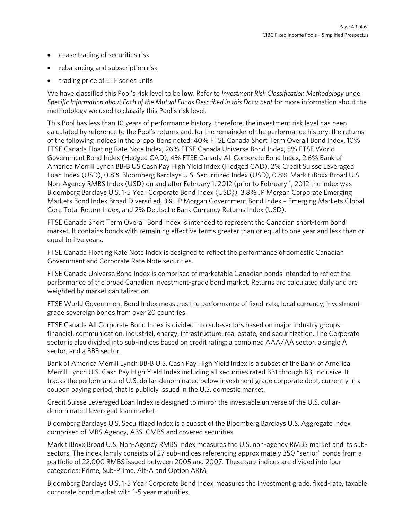- cease trading of securities risk
- rebalancing and subscription risk
- trading price of ETF series units

We have classified this Pool's risk level to be low. Refer to *Investment Risk Classification Methodology* under *Specific Information about Each of the Mutual Funds Described in this Document for more information about the* methodology we used to classify this Pool's risk level.

This Pool has less than 10 years of performance history, therefore, the investment risk level has been calculated by reference to the Pool's returns and, for the remainder of the performance history, the returns of the following indices in the proportions noted: 40% FTSE Canada Short Term Overall Bond Index, 10% FTSE Canada Floating Rate Note Index, 26% FTSE Canada Universe Bond Index, 5% FTSE World Government Bond Index (Hedged CAD), 4% FTSE Canada All Corporate Bond Index, 2.6% Bank of America Merrill Lynch BB-B US Cash Pay High Yield Index (Hedged CAD), 2% Credit Suisse Leveraged Loan Index (USD), 0.8% Bloomberg Barclays U.S. Securitized Index (USD), 0.8% Markit iBoxx Broad U.S. Non-Agency RMBS Index (USD) on and after February 1, 2012 (prior to February 1, 2012 the index was Bloomberg Barclays U.S. 1-5 Year Corporate Bond Index (USD)), 3.8% JP Morgan Corporate Emerging Markets Bond Index Broad Diversified, 3% JP Morgan Government Bond Index – Emerging Markets Global Core Total Return Index, and 2% Deutsche Bank Currency Returns Index (USD).

FTSE Canada Short Term Overall Bond Index is intended to represent the Canadian short-term bond market. It contains bonds with remaining effective terms greater than or equal to one year and less than or equal to five years.

FTSE Canada Floating Rate Note Index is designed to reflect the performance of domestic Canadian Government and Corporate Rate Note securities.

FTSE Canada Universe Bond Index is comprised of marketable Canadian bonds intended to reflect the performance of the broad Canadian investment-grade bond market. Returns are calculated daily and are weighted by market capitalization.

FTSE World Government Bond Index measures the performance of fixed-rate, local currency, investmentgrade sovereign bonds from over 20 countries.

FTSE Canada All Corporate Bond Index is divided into sub-sectors based on major industry groups: financial, communication, industrial, energy, infrastructure, real estate, and securitization. The Corporate sector is also divided into sub-indices based on credit rating: a combined AAA/AA sector, a single A sector, and a BBB sector.

Bank of America Merrill Lynch BB-B U.S. Cash Pay High Yield Index is a subset of the Bank of America Merrill Lynch U.S. Cash Pay High Yield Index including all securities rated BB1 through B3, inclusive. It tracks the performance of U.S. dollar-denominated below investment grade corporate debt, currently in a coupon paying period, that is publicly issued in the U.S. domestic market.

Credit Suisse Leveraged Loan Index is designed to mirror the investable universe of the U.S. dollardenominated leveraged loan market.

Bloomberg Barclays U.S. Securitized Index is a subset of the Bloomberg Barclays U.S. Aggregate Index comprised of MBS Agency, ABS, CMBS and covered securities.

Markit iBoxx Broad U.S. Non-Agency RMBS Index measures the U.S. non-agency RMBS market and its subsectors. The index family consists of 27 sub-indices referencing approximately 350 "senior" bonds from a portfolio of 22,000 RMBS issued between 2005 and 2007. These sub-indices are divided into four categories: Prime, Sub-Prime, Alt-A and Option ARM.

Bloomberg Barclays U.S. 1-5 Year Corporate Bond Index measures the investment grade, fixed-rate, taxable corporate bond market with 1-5 year maturities.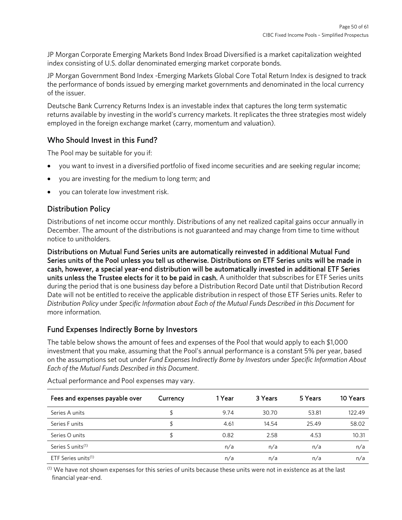JP Morgan Corporate Emerging Markets Bond Index Broad Diversified is a market capitalization weighted index consisting of U.S. dollar denominated emerging market corporate bonds.

JP Morgan Government Bond Index -Emerging Markets Global Core Total Return Index is designed to track the performance of bonds issued by emerging market governments and denominated in the local currency of the issuer.

Deutsche Bank Currency Returns Index is an investable index that captures the long term systematic returns available by investing in the world's currency markets. It replicates the three strategies most widely employed in the foreign exchange market (carry, momentum and valuation).

# Who Should Invest in this Fund?

The Pool may be suitable for you if:

- you want to invest in a diversified portfolio of fixed income securities and are seeking regular income;
- you are investing for the medium to long term; and
- you can tolerate low investment risk.

# Distribution Policy

Distributions of net income occur monthly. Distributions of any net realized capital gains occur annually in December. The amount of the distributions is not guaranteed and may change from time to time without notice to unitholders.

Distributions on Mutual Fund Series units are automatically reinvested in additional Mutual Fund Series units of the Pool unless you tell us otherwise. Distributions on ETF Series units will be made in cash, however, a special year-end distribution will be automatically invested in additional ETF Series units unless the Trustee elects for it to be paid in cash. A unitholder that subscribes for ETF Series units during the period that is one business day before a Distribution Record Date until that Distribution Record Date will not be entitled to receive the applicable distribution in respect of those ETF Series units. Refer to *Distribution Policy* under *Specific Information about Each of the Mutual Funds Described in this Document* for more information.

# Fund Expenses Indirectly Borne by Investors

The table below shows the amount of fees and expenses of the Pool that would apply to each \$1,000 investment that you make, assuming that the Pool's annual performance is a constant 5% per year, based on the assumptions set out under *Fund Expenses Indirectly Borne by Investors* under *Specific Information About Each of the Mutual Funds Described in this Document*.

| Fees and expenses payable over  | Currency | 1 Year | 3 Years | 5 Years | 10 Years |
|---------------------------------|----------|--------|---------|---------|----------|
| Series A units                  | \$       | 9.74   | 30.70   | 53.81   | 122.49   |
| Series F units                  |          | 4.61   | 14.54   | 25.49   | 58.02    |
| Series O units                  | S        | 0.82   | 2.58    | 4.53    | 10.31    |
| Series S units <sup>(1)</sup>   |          | n/a    | n/a     | n/a     | n/a      |
| ETF Series units <sup>(1)</sup> |          | n/a    | n/a     | n/a     | n/a      |

Actual performance and Pool expenses may vary.

 $(1)$  We have not shown expenses for this series of units because these units were not in existence as at the last financial year-end.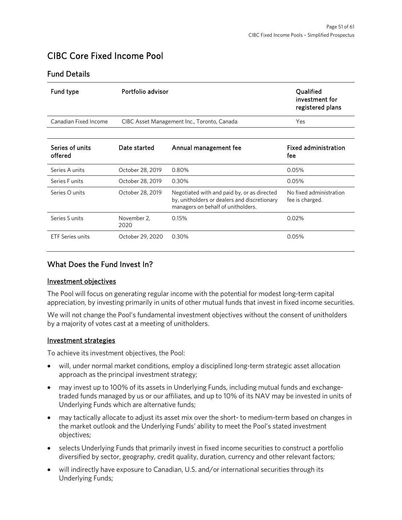# <span id="page-50-0"></span>CIBC Core Fixed Income Pool

### Fund Details

| Fund type                  | Portfolio advisor                           | Qualified<br>investment for<br>registered plans                                                                                   |                                            |
|----------------------------|---------------------------------------------|-----------------------------------------------------------------------------------------------------------------------------------|--------------------------------------------|
| Canadian Fixed Income      | CIBC Asset Management Inc., Toronto, Canada | <b>Yes</b>                                                                                                                        |                                            |
|                            |                                             |                                                                                                                                   |                                            |
| Series of units<br>offered | Date started                                | Annual management fee                                                                                                             | <b>Fixed administration</b><br>fee         |
| Series A units             | October 28, 2019                            | 0.80%                                                                                                                             | 0.05%                                      |
| Series F units             | October 28, 2019                            | 0.30%                                                                                                                             | 0.05%                                      |
| Series O units             | October 28, 2019                            | Negotiated with and paid by, or as directed<br>by, unitholders or dealers and discretionary<br>managers on behalf of unitholders. | No fixed administration<br>fee is charged. |
| Series Sunits              | November 2,<br>2020                         | 0.15%                                                                                                                             | 0.02%                                      |
| <b>ETF Series units</b>    | October 29, 2020                            | 0.30%                                                                                                                             | 0.05%                                      |

# What Does the Fund Invest In?

### Investment objectives

The Pool will focus on generating regular income with the potential for modest long-term capital appreciation, by investing primarily in units of other mutual funds that invest in fixed income securities.

We will not change the Pool's fundamental investment objectives without the consent of unitholders by a majority of votes cast at a meeting of unitholders.

### Investment strategies

To achieve its investment objectives, the Pool:

- will, under normal market conditions, employ a disciplined long-term strategic asset allocation approach as the principal investment strategy;
- may invest up to 100% of its assets in Underlying Funds, including mutual funds and exchangetraded funds managed by us or our affiliates, and up to 10% of its NAV may be invested in units of Underlying Funds which are alternative funds;
- may tactically allocate to adjust its asset mix over the short- to medium-term based on changes in the market outlook and the Underlying Funds' ability to meet the Pool's stated investment objectives;
- selects Underlying Funds that primarily invest in fixed income securities to construct a portfolio diversified by sector, geography, credit quality, duration, currency and other relevant factors;
- will indirectly have exposure to Canadian, U.S. and/or international securities through its Underlying Funds;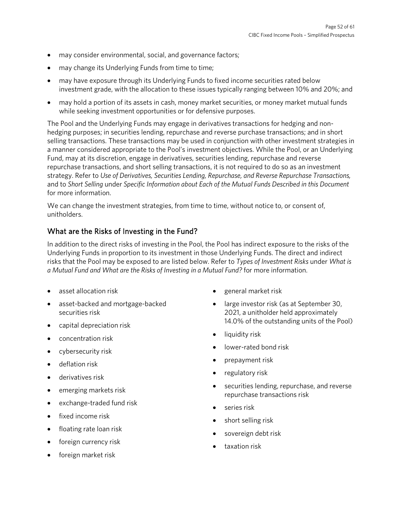- may consider environmental, social, and governance factors;
- may change its Underlying Funds from time to time;
- may have exposure through its Underlying Funds to fixed income securities rated below investment grade, with the allocation to these issues typically ranging between 10% and 20%; and
- may hold a portion of its assets in cash, money market securities, or money market mutual funds while seeking investment opportunities or for defensive purposes.

The Pool and the Underlying Funds may engage in derivatives transactions for hedging and nonhedging purposes; in securities lending, repurchase and reverse purchase transactions; and in short selling transactions. These transactions may be used in conjunction with other investment strategies in a manner considered appropriate to the Pool's investment objectives. While the Pool, or an Underlying Fund, may at its discretion, engage in derivatives, securities lending, repurchase and reverse repurchase transactions, and short selling transactions, it is not required to do so as an investment strategy. Refer to *Use of Derivatives, Securities Lending, Repurchase, and Reverse Repurchase Transactions,*  and to *Short Selling* under *Specific Information about Each of the Mutual Funds Described in this Document* for more information.

We can change the investment strategies, from time to time, without notice to, or consent of, unitholders.

## What are the Risks of Investing in the Fund?

In addition to the direct risks of investing in the Pool, the Pool has indirect exposure to the risks of the Underlying Funds in proportion to its investment in those Underlying Funds. The direct and indirect risks that the Pool may be exposed to are listed below. Refer to *Types of Investment Risks* under *What is a Mutual Fund and What are the Risks of Investing in a Mutual Fund?* for more information.

- asset allocation risk
- asset-backed and mortgage-backed securities risk
- capital depreciation risk
- concentration risk
- cybersecurity risk
- deflation risk
- derivatives risk
- emerging markets risk
- exchange-traded fund risk
- fixed income risk
- floating rate loan risk
- foreign currency risk
- foreign market risk
- general market risk
- large investor risk (as at September 30, 2021, a unitholder held approximately 14.0% of the outstanding units of the Pool)
- liquidity risk
- lower-rated bond risk
- prepayment risk
- regulatory risk
- securities lending, repurchase, and reverse repurchase transactions risk
- series risk
- short selling risk
- sovereign debt risk
- taxation risk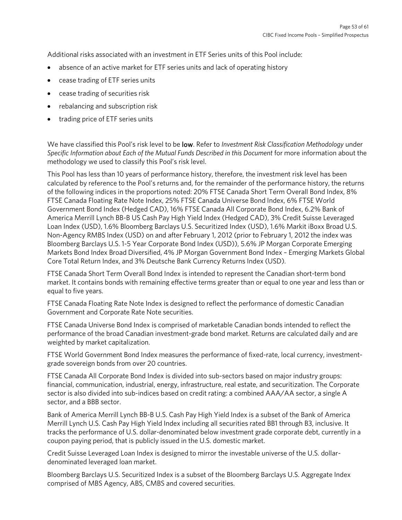Additional risks associated with an investment in ETF Series units of this Pool include:

- absence of an active market for ETF series units and lack of operating history
- cease trading of ETF series units
- cease trading of securities risk
- rebalancing and subscription risk
- trading price of ETF series units

We have classified this Pool's risk level to be low. Refer to *Investment Risk Classification Methodology* under *Specific Information about Each of the Mutual Funds Described in this Document* for more information about the methodology we used to classify this Pool's risk level.

This Pool has less than 10 years of performance history, therefore, the investment risk level has been calculated by reference to the Pool's returns and, for the remainder of the performance history, the returns of the following indices in the proportions noted: 20% FTSE Canada Short Term Overall Bond Index, 8% FTSE Canada Floating Rate Note Index, 25% FTSE Canada Universe Bond Index, 6% FTSE World Government Bond Index (Hedged CAD), 16% FTSE Canada All Corporate Bond Index, 6.2% Bank of America Merrill Lynch BB-B US Cash Pay High Yield Index (Hedged CAD), 3% Credit Suisse Leveraged Loan Index (USD), 1.6% Bloomberg Barclays U.S. Securitized Index (USD), 1.6% Markit iBoxx Broad U.S. Non-Agency RMBS Index (USD) on and after February 1, 2012 (prior to February 1, 2012 the index was Bloomberg Barclays U.S. 1-5 Year Corporate Bond Index (USD)), 5.6% JP Morgan Corporate Emerging Markets Bond Index Broad Diversified, 4% JP Morgan Government Bond Index – Emerging Markets Global Core Total Return Index, and 3% Deutsche Bank Currency Returns Index (USD).

FTSE Canada Short Term Overall Bond Index is intended to represent the Canadian short-term bond market. It contains bonds with remaining effective terms greater than or equal to one year and less than or equal to five years.

FTSE Canada Floating Rate Note Index is designed to reflect the performance of domestic Canadian Government and Corporate Rate Note securities.

FTSE Canada Universe Bond Index is comprised of marketable Canadian bonds intended to reflect the performance of the broad Canadian investment-grade bond market. Returns are calculated daily and are weighted by market capitalization.

FTSE World Government Bond Index measures the performance of fixed-rate, local currency, investmentgrade sovereign bonds from over 20 countries.

FTSE Canada All Corporate Bond Index is divided into sub-sectors based on major industry groups: financial, communication, industrial, energy, infrastructure, real estate, and securitization. The Corporate sector is also divided into sub-indices based on credit rating: a combined AAA/AA sector, a single A sector, and a BBB sector.

Bank of America Merrill Lynch BB-B U.S. Cash Pay High Yield Index is a subset of the Bank of America Merrill Lynch U.S. Cash Pay High Yield Index including all securities rated BB1 through B3, inclusive. It tracks the performance of U.S. dollar-denominated below investment grade corporate debt, currently in a coupon paying period, that is publicly issued in the U.S. domestic market.

Credit Suisse Leveraged Loan Index is designed to mirror the investable universe of the U.S. dollardenominated leveraged loan market.

Bloomberg Barclays U.S. Securitized Index is a subset of the Bloomberg Barclays U.S. Aggregate Index comprised of MBS Agency, ABS, CMBS and covered securities.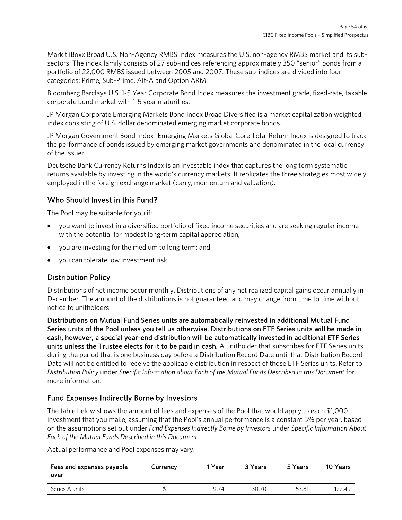Markit iBoxx Broad U.S. Non-Agency RMBS Index measures the U.S. non-agency RMBS market and its subsectors. The index family consists of 27 sub-indices referencing approximately 350 "senior" bonds from a portfolio of 22,000 RMBS issued between 2005 and 2007. These sub-indices are divided into four categories: Prime, Sub-Prime, Alt-A and Option ARM.

Bloomberg Barclays U.S. 1-5 Year Corporate Bond Index measures the investment grade, fixed-rate, taxable corporate bond market with 1-5 year maturities.

JP Morgan Corporate Emerging Markets Bond Index Broad Diversified is a market capitalization weighted index consisting of U.S. dollar denominated emerging market corporate bonds.

JP Morgan Government Bond Index -Emerging Markets Global Core Total Return Index is designed to track the performance of bonds issued by emerging market governments and denominated in the local currency of the issuer.

Deutsche Bank Currency Returns Index is an investable index that captures the long term systematic returns available by investing in the world's currency markets. It replicates the three strategies most widely employed in the foreign exchange market (carry, momentum and valuation).

# Who Should Invest in this Fund?

The Pool may be suitable for you if:

- you want to invest in a diversified portfolio of fixed income securities and are seeking regular income with the potential for modest long-term capital appreciation;
- you are investing for the medium to long term; and
- you can tolerate low investment risk.

# Distribution Policy

Distributions of net income occur monthly. Distributions of any net realized capital gains occur annually in December. The amount of the distributions is not guaranteed and may change from time to time without notice to unitholders.

Distributions on Mutual Fund Series units are automatically reinvested in additional Mutual Fund Series units of the Pool unless you tell us otherwise. Distributions on ETF Series units will be made in cash, however, a special year-end distribution will be automatically invested in additional ETF Series units unless the Trustee elects for it to be paid in cash. A unitholder that subscribes for ETF Series units during the period that is one business day before a Distribution Record Date until that Distribution Record Date will not be entitled to receive the applicable distribution in respect of those ETF Series units. Refer to *Distribution Policy* under *Specific Information about Each of the Mutual Funds Described in this Document* for more information.

# Fund Expenses Indirectly Borne by Investors

The table below shows the amount of fees and expenses of the Pool that would apply to each \$1,000 investment that you make, assuming that the Pool's annual performance is a constant 5% per year, based on the assumptions set out under *Fund Expenses Indirectly Borne by Investors* under *Specific Information About Each of the Mutual Funds Described in this Document*.

Actual performance and Pool expenses may vary.

| Fees and expenses payable<br>over | Currency | 1 Year | 3 Years | 5 Years | 10 Years |
|-----------------------------------|----------|--------|---------|---------|----------|
| Series A units                    |          | 9.74   | 30.70   | 53.81   | 122.49   |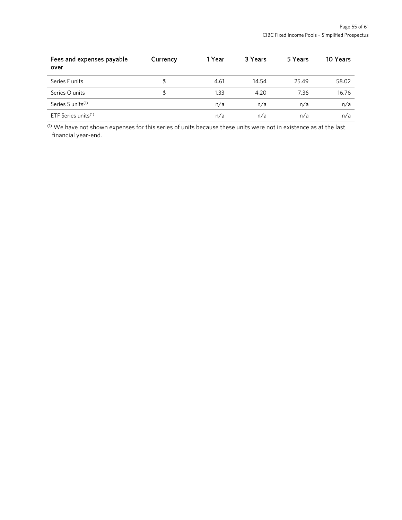| Fees and expenses payable<br>over | Currency | 1 Year | 3 Years | 5 Years | 10 Years |
|-----------------------------------|----------|--------|---------|---------|----------|
| Series F units                    | \$       | 4.61   | 14.54   | 25.49   | 58.02    |
| Series O units                    | \$       | 1.33   | 4.20    | 7.36    | 16.76    |
| Series S units <sup>(1)</sup>     |          | n/a    | n/a     | n/a     | n/a      |
| ETF Series units $(1)$            |          | n/a    | n/a     | n/a     | n/a      |

(1) We have not shown expenses for this series of units because these units were not in existence as at the last financial year-end.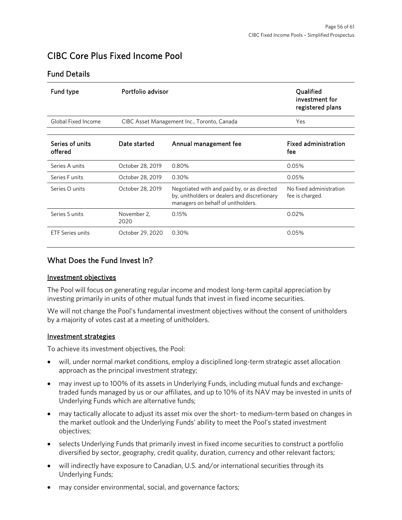# <span id="page-55-0"></span>CIBC Core Plus Fixed Income Pool

## Fund Details

| Fund type                  | Portfolio advisor                           |                                                                                                                                   | Qualified<br>investment for<br>registered plans |  |
|----------------------------|---------------------------------------------|-----------------------------------------------------------------------------------------------------------------------------------|-------------------------------------------------|--|
| Global Fixed Income        | CIBC Asset Management Inc., Toronto, Canada | Yes                                                                                                                               |                                                 |  |
| Series of units<br>offered | Date started                                | Annual management fee                                                                                                             | <b>Fixed administration</b><br>fee              |  |
| Series A units             | October 28, 2019                            | 0.80%                                                                                                                             | 0.05%                                           |  |
| Series Funits              | October 28, 2019                            | 0.30%                                                                                                                             | 0.05%                                           |  |
| Series O units             | October 28, 2019                            | Negotiated with and paid by, or as directed<br>by, unitholders or dealers and discretionary<br>managers on behalf of unitholders. | No fixed administration<br>fee is charged.      |  |
| Series S units             | November 2,<br>2020                         | 0.15%                                                                                                                             | 0.02%                                           |  |
| <b>ETF Series units</b>    | October 29, 2020                            | 0.30%                                                                                                                             | 0.05%                                           |  |

# What Does the Fund Invest In?

### Investment objectives

The Pool will focus on generating regular income and modest long-term capital appreciation by investing primarily in units of other mutual funds that invest in fixed income securities.

We will not change the Pool's fundamental investment objectives without the consent of unitholders by a majority of votes cast at a meeting of unitholders.

### Investment strategies

To achieve its investment objectives, the Pool:

- will, under normal market conditions, employ a disciplined long-term strategic asset allocation approach as the principal investment strategy;
- may invest up to 100% of its assets in Underlying Funds, including mutual funds and exchangetraded funds managed by us or our affiliates, and up to 10% of its NAV may be invested in units of Underlying Funds which are alternative funds;
- may tactically allocate to adjust its asset mix over the short- to medium-term based on changes in the market outlook and the Underlying Funds' ability to meet the Pool's stated investment objectives;
- selects Underlying Funds that primarily invest in fixed income securities to construct a portfolio diversified by sector, geography, credit quality, duration, currency and other relevant factors;
- will indirectly have exposure to Canadian, U.S. and/or international securities through its Underlying Funds;
- may consider environmental, social, and governance factors;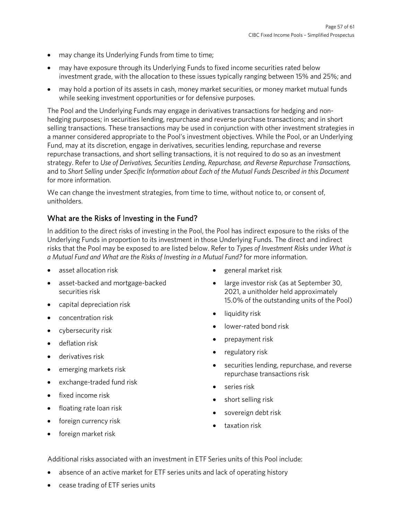- may change its Underlying Funds from time to time;
- may have exposure through its Underlying Funds to fixed income securities rated below investment grade, with the allocation to these issues typically ranging between 15% and 25%; and
- may hold a portion of its assets in cash, money market securities, or money market mutual funds while seeking investment opportunities or for defensive purposes.

The Pool and the Underlying Funds may engage in derivatives transactions for hedging and nonhedging purposes; in securities lending, repurchase and reverse purchase transactions; and in short selling transactions. These transactions may be used in conjunction with other investment strategies in a manner considered appropriate to the Pool's investment objectives. While the Pool, or an Underlying Fund, may at its discretion, engage in derivatives, securities lending, repurchase and reverse repurchase transactions, and short selling transactions, it is not required to do so as an investment strategy. Refer to *Use of Derivatives, Securities Lending, Repurchase, and Reverse Repurchase Transactions,*  and to *Short Selling* under *Specific Information about Each of the Mutual Funds Described in this Document* for more information.

We can change the investment strategies, from time to time, without notice to, or consent of, unitholders.

# What are the Risks of Investing in the Fund?

In addition to the direct risks of investing in the Pool, the Pool has indirect exposure to the risks of the Underlying Funds in proportion to its investment in those Underlying Funds. The direct and indirect risks that the Pool may be exposed to are listed below. Refer to *Types of Investment Risks* under *What is a Mutual Fund and What are the Risks of Investing in a Mutual Fund?* for more information.

- asset allocation risk
- asset-backed and mortgage-backed securities risk
- capital depreciation risk
- concentration risk
- cybersecurity risk
- deflation risk
- derivatives risk
- emerging markets risk
- exchange-traded fund risk
- fixed income risk
- floating rate loan risk
- foreign currency risk
- foreign market risk
- general market risk
- large investor risk (as at September 30, 2021, a unitholder held approximately 15.0% of the outstanding units of the Pool)
- liquidity risk
- lower-rated bond risk
- prepayment risk
- regulatory risk
- securities lending, repurchase, and reverse repurchase transactions risk
- series risk
- short selling risk
- sovereign debt risk
- taxation risk

Additional risks associated with an investment in ETF Series units of this Pool include:

- absence of an active market for ETF series units and lack of operating history
- cease trading of ETF series units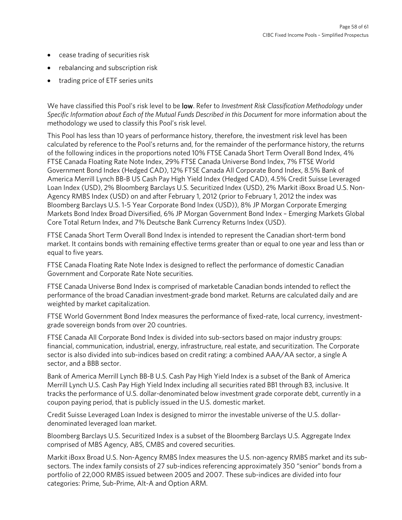- cease trading of securities risk
- rebalancing and subscription risk
- trading price of ETF series units

We have classified this Pool's risk level to be low. Refer to *Investment Risk Classification Methodology* under *Specific Information about Each of the Mutual Funds Described in this Document* for more information about the methodology we used to classify this Pool's risk level.

This Pool has less than 10 years of performance history, therefore, the investment risk level has been calculated by reference to the Pool's returns and, for the remainder of the performance history, the returns of the following indices in the proportions noted 10% FTSE Canada Short Term Overall Bond Index, 4% FTSE Canada Floating Rate Note Index, 29% FTSE Canada Universe Bond Index, 7% FTSE World Government Bond Index (Hedged CAD), 12% FTSE Canada All Corporate Bond Index, 8.5% Bank of America Merrill Lynch BB-B US Cash Pay High Yield Index (Hedged CAD), 4.5% Credit Suisse Leveraged Loan Index (USD), 2% Bloomberg Barclays U.S. Securitized Index (USD), 2% Markit iBoxx Broad U.S. Non-Agency RMBS Index (USD) on and after February 1, 2012 (prior to February 1, 2012 the index was Bloomberg Barclays U.S. 1-5 Year Corporate Bond Index (USD)), 8% JP Morgan Corporate Emerging Markets Bond Index Broad Diversified, 6% JP Morgan Government Bond Index – Emerging Markets Global Core Total Return Index, and 7% Deutsche Bank Currency Returns Index (USD).

FTSE Canada Short Term Overall Bond Index is intended to represent the Canadian short-term bond market. It contains bonds with remaining effective terms greater than or equal to one year and less than or equal to five years.

FTSE Canada Floating Rate Note Index is designed to reflect the performance of domestic Canadian Government and Corporate Rate Note securities.

FTSE Canada Universe Bond Index is comprised of marketable Canadian bonds intended to reflect the performance of the broad Canadian investment-grade bond market. Returns are calculated daily and are weighted by market capitalization.

FTSE World Government Bond Index measures the performance of fixed-rate, local currency, investmentgrade sovereign bonds from over 20 countries.

FTSE Canada All Corporate Bond Index is divided into sub-sectors based on major industry groups: financial, communication, industrial, energy, infrastructure, real estate, and securitization. The Corporate sector is also divided into sub-indices based on credit rating: a combined AAA/AA sector, a single A sector, and a BBB sector.

Bank of America Merrill Lynch BB-B U.S. Cash Pay High Yield Index is a subset of the Bank of America Merrill Lynch U.S. Cash Pay High Yield Index including all securities rated BB1 through B3, inclusive. It tracks the performance of U.S. dollar-denominated below investment grade corporate debt, currently in a coupon paying period, that is publicly issued in the U.S. domestic market.

Credit Suisse Leveraged Loan Index is designed to mirror the investable universe of the U.S. dollardenominated leveraged loan market.

Bloomberg Barclays U.S. Securitized Index is a subset of the Bloomberg Barclays U.S. Aggregate Index comprised of MBS Agency, ABS, CMBS and covered securities.

Markit iBoxx Broad U.S. Non-Agency RMBS Index measures the U.S. non-agency RMBS market and its subsectors. The index family consists of 27 sub-indices referencing approximately 350 "senior" bonds from a portfolio of 22,000 RMBS issued between 2005 and 2007. These sub-indices are divided into four categories: Prime, Sub-Prime, Alt-A and Option ARM.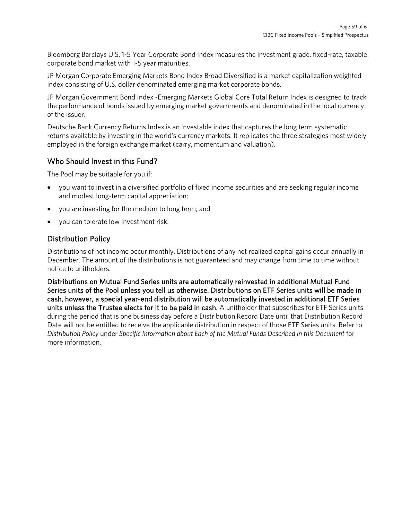Bloomberg Barclays U.S. 1-5 Year Corporate Bond Index measures the investment grade, fixed-rate, taxable corporate bond market with 1-5 year maturities.

JP Morgan Corporate Emerging Markets Bond Index Broad Diversified is a market capitalization weighted index consisting of U.S. dollar denominated emerging market corporate bonds.

JP Morgan Government Bond Index -Emerging Markets Global Core Total Return Index is designed to track the performance of bonds issued by emerging market governments and denominated in the local currency of the issuer.

Deutsche Bank Currency Returns Index is an investable index that captures the long term systematic returns available by investing in the world's currency markets. It replicates the three strategies most widely employed in the foreign exchange market (carry, momentum and valuation).

# Who Should Invest in this Fund?

The Pool may be suitable for you if:

- you want to invest in a diversified portfolio of fixed income securities and are seeking regular income and modest long-term capital appreciation;
- you are investing for the medium to long term; and
- you can tolerate low investment risk.

# Distribution Policy

Distributions of net income occur monthly. Distributions of any net realized capital gains occur annually in December. The amount of the distributions is not guaranteed and may change from time to time without notice to unitholders.

Distributions on Mutual Fund Series units are automatically reinvested in additional Mutual Fund Series units of the Pool unless you tell us otherwise. Distributions on ETF Series units will be made in cash, however, a special year-end distribution will be automatically invested in additional ETF Series units unless the Trustee elects for it to be paid in cash. A unitholder that subscribes for ETF Series units during the period that is one business day before a Distribution Record Date until that Distribution Record Date will not be entitled to receive the applicable distribution in respect of those ETF Series units. Refer to *Distribution Policy* under *Specific Information about Each of the Mutual Funds Described in this Document* for more information.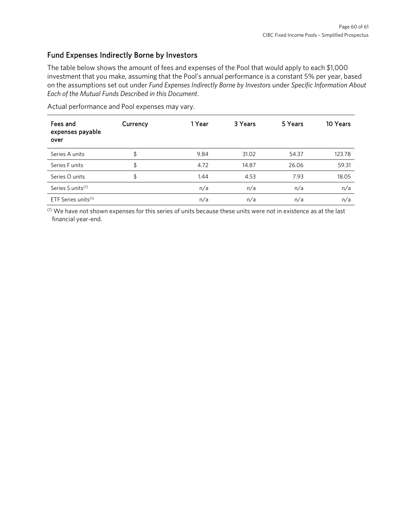# Fund Expenses Indirectly Borne by Investors

The table below shows the amount of fees and expenses of the Pool that would apply to each \$1,000 investment that you make, assuming that the Pool's annual performance is a constant 5% per year, based on the assumptions set out under *Fund Expenses Indirectly Borne by Investors* under *Specific Information About Each of the Mutual Funds Described in this Document*.

| Fees and<br>expenses payable<br>over | Currency | 1 Year | 3 Years | 5 Years | 10 Years |
|--------------------------------------|----------|--------|---------|---------|----------|
| Series A units                       | \$       | 9.84   | 31.02   | 54.37   | 123.78   |
| Series F units                       | \$       | 4.72   | 14.87   | 26.06   | 59.31    |
| Series O units                       | \$       | 1.44   | 4.53    | 7.93    | 18.05    |
| Series S units <sup>(1)</sup>        |          | n/a    | n/a     | n/a     | n/a      |
| ETF Series units <sup>(1)</sup>      |          | n/a    | n/a     | n/a     | n/a      |

Actual performance and Pool expenses may vary.

(1) We have not shown expenses for this series of units because these units were not in existence as at the last financial year-end.